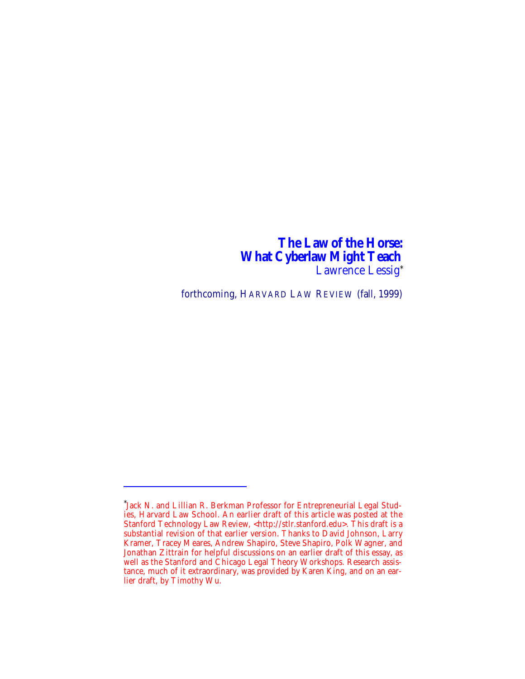# **The Law of the Horse: What Cyberlaw Might Teach** Lawrence Lessig\*

forthcoming, HARVARD LAW REVIEW (fall, 1999)

1

<sup>\*</sup> Jack N. and Lillian R. Berkman Professor for Entrepreneurial Legal Studies, Harvard Law School. An earlier draft of this article was posted at the Stanford Technology Law Review, <http://stlr.stanford.edu>. This draft is a substantial revision of that earlier version. Thanks to David Johnson, Larry Kramer, Tracey Meares, Andrew Shapiro, Steve Shapiro, Polk Wagner, and Jonathan Zittrain for helpful discussions on an earlier draft of this essay, as well as the Stanford and Chicago Legal Theory Workshops. Research assistance, much of it extraordinary, was provided by Karen King, and on an earlier draft, by Timothy Wu.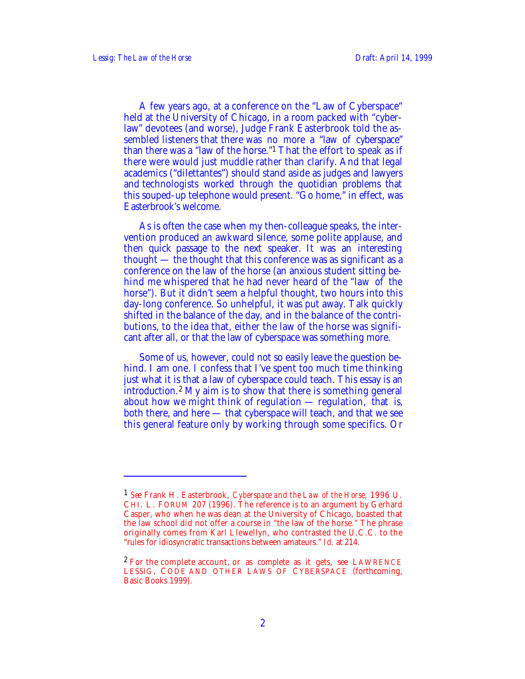A few years ago, at a conference on the "Law of Cyberspace" held at the University of Chicago, in a room packed with "cyberlaw" devotees (and worse), Judge Frank Easterbrook told the assembled listeners that there was no more a "law of cyberspace" than there was a "law of the horse."1 That the effort to speak as if there were would just muddle rather than clarify. And that legal academics ("dilettantes") should stand aside as judges and lawyers and technologists worked through the quotidian problems that this souped-up telephone would present. "Go home," in effect, was Easterbrook's welcome.

As is often the case when my then-colleague speaks, the intervention produced an awkward silence, some polite applause, and then quick passage to the next speaker. It was an interesting thought — the thought that this conference was as significant as a conference on the law of the horse (an anxious student sitting behind me whispered that he had never heard of the "law of the horse"). But it didn't seem a helpful thought, two hours into this day-long conference. So unhelpful, it was put away. Talk quickly shifted in the balance of the day, and in the balance of the contributions, to the idea that, either the law of the horse was significant after all, or that the law of cyberspace was something more.

Some of us, however, could not so easily leave the question behind. I am one. I confess that I've spent too much time thinking just what it is that a law of cyberspace could teach. This essay is an introduction.2 My aim is to show that there is something general about how we might think of regulation — regulation, that is, both there, and here — that cyberspace will teach, and that we see this general feature only by working through some specifics. Or

<sup>1</sup> *See* Frank H. Easterbrook, *Cyberspace and the Law of the Horse*, 1996 U. CHI. L. FORUM 207 (1996). The reference is to an argument by Gerhard Casper, who when he was dean at the University of Chicago, boasted that the law school did not offer a course in "the law of the horse." The phrase originally comes from Karl Llewellyn, who contrasted the U.C.C. to the "rules for idiosyncratic transactions between amateurs." *Id.* at 214.

<sup>&</sup>lt;sup>2</sup> For the complete account, or as complete as it gets, see LAWRENCE LESSIG, CODE AND OTHER LAWS OF CYBERSPACE (forthcoming, Basic Books 1999).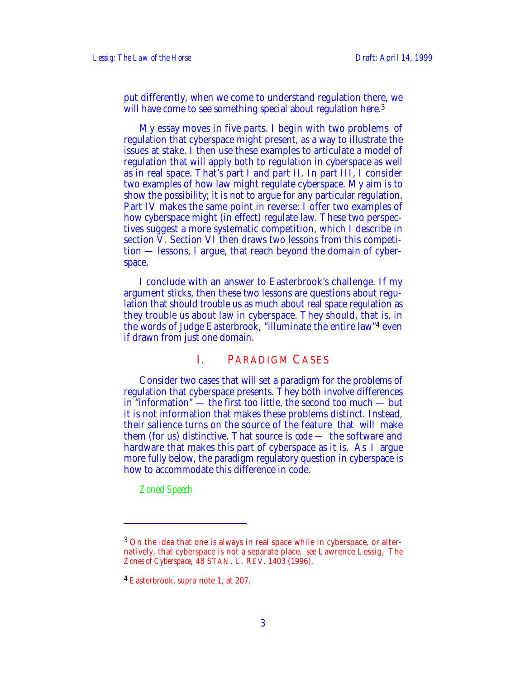put differently, when we come to understand regulation there, we will have come to see something special about regulation here.<sup>3</sup>

My essay moves in five parts. I begin with two problems of regulation that cyberspace might present, as a way to illustrate the issues at stake. I then use these examples to articulate a model of regulation that will apply both to regulation in cyberspace as well as in real space. That's part I and part II. In part III, I consider two examples of how law might regulate cyberspace. My aim is to show the possibility; it is not to argue for any particular regulation. Part IV makes the same point in reverse: I offer two examples of how cyberspace might (in effect) regulate law. These two perspectives suggest a more systematic competition, which I describe in section V. Section VI then draws two lessons from this competition — lessons, I argue, that reach beyond the domain of cyberspace.

I conclude with an answer to Easterbrook's challenge. If my argument sticks, then these two lessons are questions about regulation that should trouble us as much about real space regulation as they trouble us about law in cyberspace. They should, that is, in the words of Judge Easterbrook, "illuminate the entire law"4 even if drawn from just one domain.

# I. PARADIGM CASES

Consider two cases that will set a paradigm for the problems of regulation that cyberspace presents. They both involve differences in "information" — the first too little, the second too much — but it is not information that makes these problems distinct. Instead, their salience turns on the source of the feature that will make them (for us) distinctive. That source is *code —* the software and hardware that makes this part of cyberspace as it is. As I argue more fully below, the paradigm regulatory question in cyberspace is how to accommodate this difference in code.

*Zoned Speech*

 $\overline{a}$ 

<sup>&</sup>lt;sup>3</sup> On the idea that one is always in real space while in cyberspace, or alternatively, that cyberspace is not a separate place, *see* Lawrence Lessig, *The Zones of Cyberspace*, 48 STAN. L. REV. 1403 (1996).

<sup>4</sup> Easterbrook, *supra* note 1, at 207.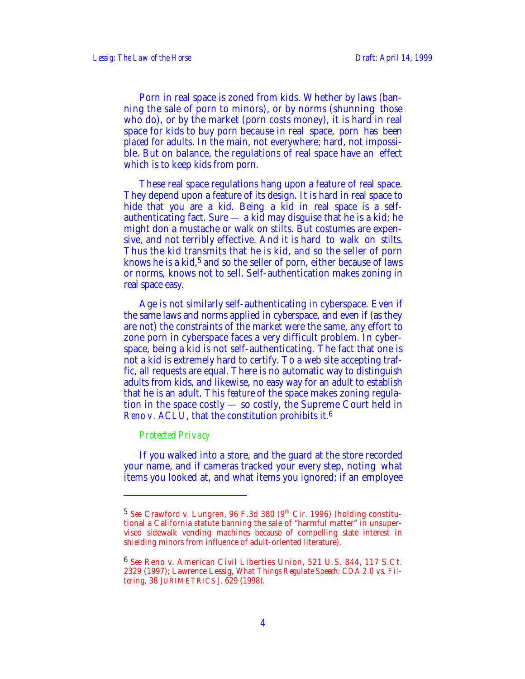Porn in real space is zoned from kids. Whether by laws (banning the sale of porn to minors), or by norms (shunning those who do), or by the market (porn costs money), it is hard in real space for kids to buy porn because in real space, porn has been *placed* for adults. In the main, not everywhere; hard, not impossible. But on balance, the regulations of real space have an effect which is to keep kids from porn.

These real space regulations hang upon a feature of real space. They depend upon a feature of its design. It is hard in real space to hide that you are a kid. Being a kid in real space is a selfauthenticating fact. Sure  $-$  a kid may disguise that he is a kid; he might don a mustache or walk on stilts. But costumes are expensive, and not terribly effective. And it is hard to walk on stilts. Thus the kid transmits that he is kid, and so the seller of porn knows he is a kid,<sup>5</sup> and so the seller of porn, either because of laws or norms, knows not to sell. Self-authentication makes zoning in real space easy.

Age is not similarly self-authenticating in cyberspace. Even if the same laws and norms applied in cyberspace, and even if (as they are not) the constraints of the market were the same, any effort to zone porn in cyberspace faces a very difficult problem. In cyberspace, being a kid is not self-authenticating. The fact that one is not a kid is extremely hard to certify. To a web site accepting traffic, all requests are equal. There is no automatic way to distinguish adults from kids, and likewise, no easy way for an adult to establish that he is an adult. This *feature* of the space makes zoning regulation in the space costly — so costly, the Supreme Court held in *Reno v. ACLU*, that the constitution prohibits it.<sup>6</sup>

#### *Protected Privacy*

 $\overline{a}$ 

If you walked into a store, and the guard at the store recorded your name, and if cameras tracked your every step, noting what items you looked at, and what items you ignored; if an employee

<sup>&</sup>lt;sup>5</sup> See Crawford v. Lungren, 96 F.3d 380 (9<sup>th</sup> Cir. 1996) (holding constitutional a California statute banning the sale of "harmful matter" in unsupervised sidewalk vending machines because of compelling state interest in shielding minors from influence of adult-oriented literature).

<sup>6</sup> *See* Reno v. American Civil Liberties Union, 521 U.S. 844, 117 S.Ct. 2329 (1997); Lawrence Lessig, *What Things Regulate Speech: CDA 2.0 vs. Filtering*, 38 JURIMETRICS J. 629 (1998).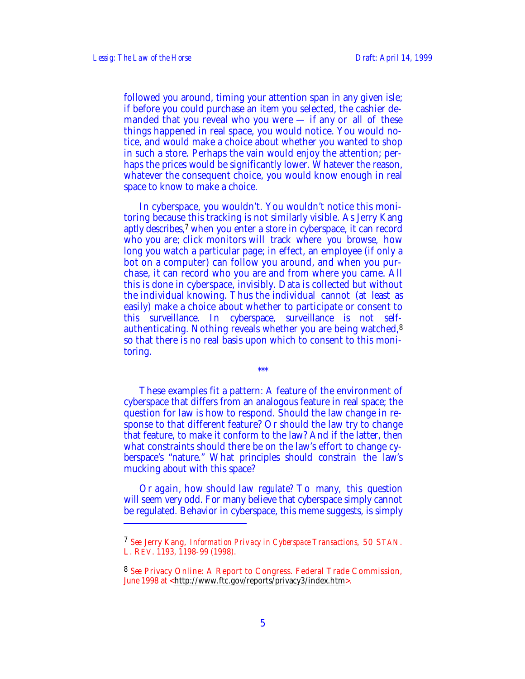$\overline{a}$ 

followed you around, timing your attention span in any given isle; if before you could purchase an item you selected, the cashier demanded that you reveal who you were — if any or all of these things happened in real space, you would notice. You would notice, and would make a choice about whether you wanted to shop in such a store. Perhaps the vain would enjoy the attention; perhaps the prices would be significantly lower. Whatever the reason, whatever the consequent choice, you would know enough in real space to know to make a choice.

In cyberspace, you wouldn't. You wouldn't notice this monitoring because this tracking is not similarly visible. As Jerry Kang aptly describes,7 when you enter a store in cyberspace, it can record who you are; click monitors will track where you browse, how long you watch a particular page; in effect, an employee (if only a bot on a computer) can follow you around, and when you purchase, it can record who you are and from where you came. All this is done in cyberspace, invisibly. Data is collected but without the individual knowing. Thus the individual cannot (at least as easily) make a choice about whether to participate or consent to this surveillance. In cyberspace, surveillance is not selfauthenticating. Nothing reveals whether you are being watched,<sup>8</sup> so that there is no real basis upon which to consent to this monitoring.

These examples fit a pattern: A feature of the environment of cyberspace that differs from an analogous feature in real space; the question for law is how to respond. Should the law change in response to that different feature? Or should the law try to change that feature, to make it conform to the law? And if the latter, then what constraints should there be on the law's effort to change cyberspace's "nature." What principles should constrain the law's mucking about with this space?

\*\*\*

Or again, how should law *regulate*? To many, this question will seem very odd. For many believe that cyberspace simply cannot be regulated. Behavior in cyberspace, this meme suggests, is simply

<sup>7</sup> *See* Jerry Kang, *Information Privacy in Cyberspace Transactions*, 50 STAN. L. REV. 1193, 1198-99 (1998).

<sup>8</sup> *See* Privacy Online: A Report to Congress. Federal Trade Commission, June 1998 at <http://www.ftc.gov/reports/privacy3/index.htm>.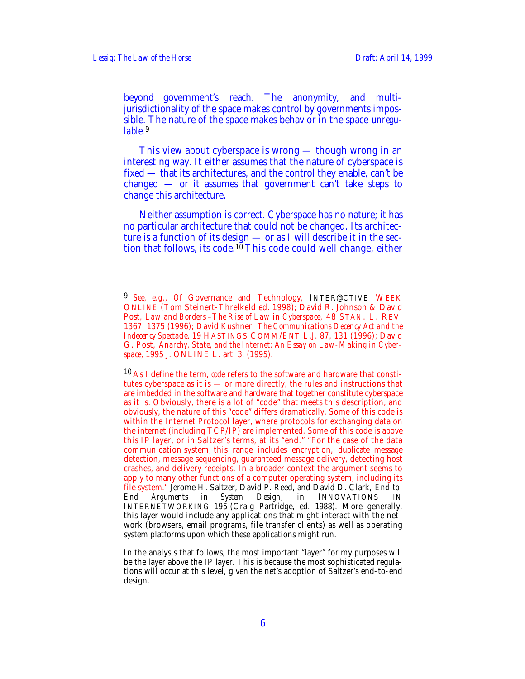$\overline{a}$ 

beyond government's reach. The anonymity, and multijurisdictionality of the space makes control by governments impossible. The nature of the space makes behavior in the space *unregulable.*<sup>9</sup>

This view about cyberspace is wrong — though wrong in an interesting way. It either assumes that the nature of cyberspace is fixed — that its architectures, and the control they enable, can't be changed — or it assumes that government can't take steps to change this architecture.

Neither assumption is correct. Cyberspace has no nature; it has no particular architecture that could not be changed. Its architecture is a function of its design — or as I will describe it in the section that follows, its code.<sup>10</sup> This code could well change, either

<sup>9</sup> See, e.g., Of Governance and Technology, INTER@CTIVE WEEK ONLINE (Tom Steinert-Threlkeld ed. 1998); David R. Johnson & David Post, *Law and Borders –The Rise of Law in Cyberspace*, 48 STAN. L. REV. 1367, 1375 (1996); David Kushner, *The Communications Decency Act and the Indecency Spectacle*, 19 HASTINGS COMM/ENT L.J. 87, 131 (1996); David G. Post, *Anarchy, State, and the Internet: An Essay on Law-Making in Cyberspace*, 1995 J. ONLINE L. art. 3. (1995).

<sup>10</sup> As I define the term, *code* refers to the software and hardware that constitutes cyberspace as it is — or more directly, the rules and instructions that are imbedded in the software and hardware that together constitute cyberspace as it is. Obviously, there is a lot of "code" that meets this description, and obviously, the nature of this "code" differs dramatically. Some of this code is within the Internet Protocol layer, where protocols for exchanging data on the internet (including TCP/IP) are implemented. Some of this code is above this IP layer, or in Saltzer's terms, at its "end." "For the case of the data communication system, this range includes encryption, duplicate message detection, message sequencing, guaranteed message delivery, detecting host crashes, and delivery receipts. In a broader context the argument seems to apply to many other functions of a computer operating system, including its file system." Jerome H. Saltzer, David P. Reed, and David D. Clark, *End-to-End Arguments in System Design*, in INNOVATIONS IN INTERNETWORKING 195 (Craig Partridge, ed. 1988). More generally, this layer would include any applications that might interact with the network (browsers, email programs, file transfer clients) as well as operating system platforms upon which these applications might run.

In the analysis that follows, the most important "layer" for my purposes will be the layer above the IP layer. This is because the most sophisticated regulations will occur at this level, given the net's adoption of Saltzer's end-to-end design.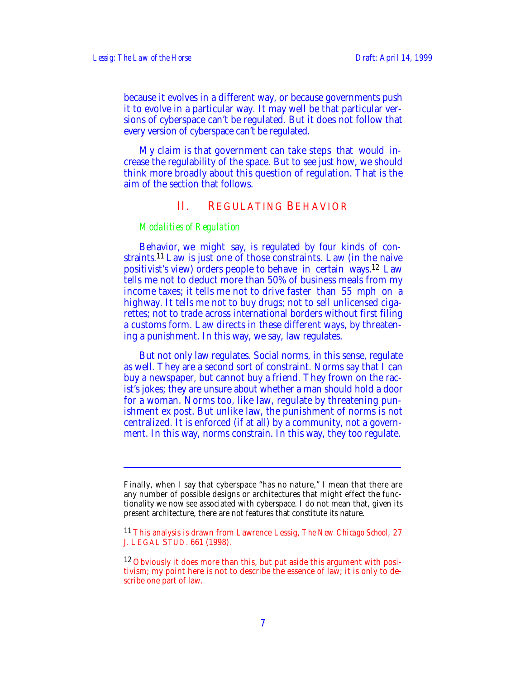because it evolves in a different way, or because governments push it to evolve in a particular way. It may well be that particular versions of cyberspace can't be regulated. But it does not follow that every version of cyberspace can't be regulated.

My claim is that government can take steps that would increase the regulability of the space. But to see just how, we should think more broadly about this question of regulation. That is the aim of the section that follows.

### II. REGULATING BEHAVIOR

# *Modalities of Regulation*

Behavior, we might say, is regulated by four kinds of constraints.11 Law is just one of those constraints. Law (in the naive positivist's view) orders people to behave in certain ways.<sup>12</sup> Law tells me not to deduct more than 50% of business meals from my income taxes; it tells me not to drive faster than 55 mph on a highway. It tells me not to buy drugs; not to sell unlicensed cigarettes; not to trade across international borders without first filing a customs form. Law directs in these different ways, by threatening a punishment. In this way, we say, law regulates.

But not only law regulates. Social norms, in this sense, regulate as well. They are a second sort of constraint. Norms say that I can buy a newspaper, but cannot buy a friend. They frown on the racist's jokes; they are unsure about whether a man should hold a door for a woman. Norms too, like law, regulate by threatening punishment ex post. But unlike law, the punishment of norms is not centralized. It is enforced (if at all) by a community, not a government. In this way, norms constrain. In this way, they too regulate.

Finally, when I say that cyberspace "has no nature," I mean that there are any number of possible designs or architectures that might effect the functionality we now see associated with cyberspace. I do not mean that, given its present architecture, there are not features that constitute its nature.

<sup>11</sup> This analysis is drawn from Lawrence Lessig, *The New Chicago School*, 27 J. LEGAL STUD. 661 (1998).

<sup>&</sup>lt;sup>12</sup> Obviously it does more than this, but put aside this argument with positivism; my point here is not to describe the essence of law; it is only to describe one part of law.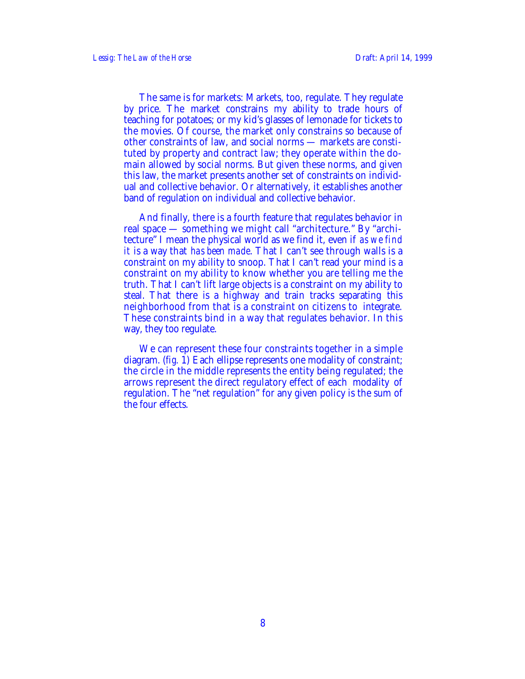The same is for markets: Markets, too, regulate. They regulate by price. The market constrains my ability to trade hours of teaching for potatoes; or my kid's glasses of lemonade for tickets to the movies. Of course, the market only constrains so because of other constraints of law, and social norms — markets are constituted by property and contract law; they operate within the domain allowed by social norms. But given these norms, and given this law, the market presents another set of constraints on individual and collective behavior. Or alternatively, it establishes another band of regulation on individual and collective behavior.

And finally, there is a fourth feature that regulates behavior in real space — something we might call "architecture." By "architecture" I mean the physical world as we find it, even if *as we find it* is a way that *has been made*. That I can't see through walls is a constraint on my ability to snoop. That I can't read your mind is a constraint on my ability to know whether you are telling me the truth. That I can't lift large objects is a constraint on my ability to steal. That there is a highway and train tracks separating this neighborhood from that is a constraint on citizens to integrate. These constraints bind in a way that regulates behavior. In this way, they too regulate.

We can represent these four constraints together in a simple diagram. (*fig.* 1) Each ellipse represents one modality of constraint; the circle in the middle represents the entity being regulated; the arrows represent the direct regulatory effect of each modality of regulation. The "net regulation" for any given policy is the sum of the four effects.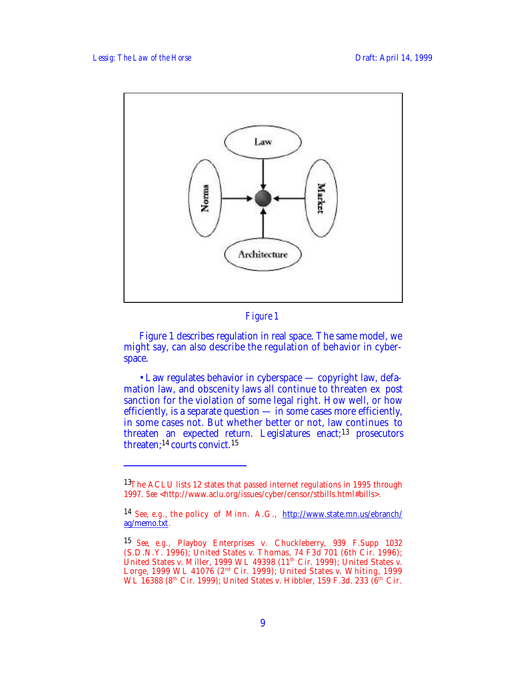



Figure 1 describes regulation in real space. The same model, we might say, can also describe the regulation of behavior in cyberspace.

• Law regulates behavior in cyberspace — copyright law, defamation law, and obscenity laws all continue to threaten ex post sanction for the violation of some legal right. How well, or how efficiently, is a separate question — in some cases more efficiently, in some cases not. But whether better or not, law continues to threaten an expected return. Legislatures enact;<sup>13</sup> prosecutors threaten;14 courts convict.<sup>15</sup>

<sup>&</sup>lt;sup>13</sup>The ACLU lists 12 states that passed internet regulations in 1995 through 1997. *See* <http://www.aclu.org/issues/cyber/censor/stbills.html#bills>.

<sup>14</sup> *See, e.g.*, the policy of Minn. A.G., http://www.state.mn.us/ebranch/ ag/memo.txt.

<sup>15</sup> *See, e.g.*, Playboy Enterprises v. Chuckleberry, 939 F.Supp 1032 (S.D.N.Y. 1996); United States v. Thomas, 74 F3d 701 (6th Cir. 1996); United States v. Miller, 1999 WL 49398 (11<sup>th</sup> Cir. 1999); United States v. Lorge, 1999 WL 41076 (2nd Cir. 1999); United States v. Whiting, 1999 WL 16388 (8<sup>th</sup> Cir. 1999); United States v. Hibbler, 159 F.3d. 233 ( $6$ <sup>th</sup> Cir.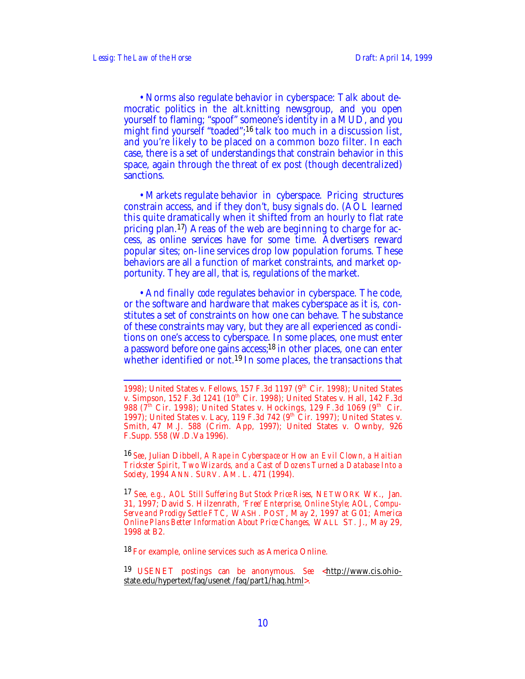• Norms also regulate behavior in cyberspace: Talk about democratic politics in the alt.knitting newsgroup, and you open yourself to flaming; "spoof" someone's identity in a MUD, and you might find yourself "toaded";<sup>16</sup> talk too much in a discussion list, and you're likely to be placed on a common bozo filter. In each case, there is a set of understandings that constrain behavior in this space, again through the threat of ex post (though decentralized) sanctions.

• Markets regulate behavior in cyberspace. Pricing structures constrain access, and if they don't, busy signals do. (AOL learned this quite dramatically when it shifted from an hourly to flat rate pricing plan.17) Areas of the web are beginning to charge for access, as online services have for some time. Advertisers reward popular sites; on-line services drop low population forums. These behaviors are all a function of market constraints, and market opportunity. They are all, that is, regulations of the market.

• And finally *code* regulates behavior in cyberspace. The code, or the software and hardware that makes cyberspace as it is, constitutes a set of constraints on how one can behave. The substance of these constraints may vary, but they are all experienced as conditions on one's access to cyberspace. In some places, one must enter a password before one gains access;<sup>18</sup> in other places, one can enter whether identified or not.<sup>19</sup> In some places, the transactions that

16 *See*, Julian Dibbell, *A Rape in Cyberspace or How an Evil Clown, a Haitian Trickster Spirit, Two Wizards, and a Cast of Dozens Turned a Database Into a Society*, 1994 ANN. SURV. AM. L. 471 (1994).

17 *See, e.g.*, *AOL Still Suffering But Stock Price Rises*, NETWORK WK., Jan. 31, 1997; David S. Hilzenrath, *'Free' Enterprise, Online Style; AOL, Compu-Serve and Prodigy Settle FTC*, WASH. POST, May 2, 1997 at G01; *America Online Plans Better Information About Price Changes*, WALL ST. J., May 29, 1998 at B2.

18 For example, online services such as America Online.

19 USENET postings can be anonymous. *See* < http://www.cis.ohiostate.edu/hypertext/faq/usenet/faq/part1/haq.html>.

<sup>1</sup> 1998); United States v. Fellows, 157 F.3d 1197 (9<sup>th</sup> Cir. 1998); United States v. Simpson, 152 F.3d 1241 (10<sup>th</sup> Cir. 1998); United States v. Hall, 142 F.3d 988 ( $7<sup>th</sup>$  Cir. 1998); United States v. Hockings, 129 F.3d 1069 (9<sup>th</sup> Cir. 1997); United States v. Lacy, 119 F.3d 742  $(9<sup>th</sup>$  Cir. 1997); United States v. Smith, 47 M.J. 588 (Crim. App, 1997); United States v. Ownby, 926 F.Supp. 558 (W.D.Va 1996).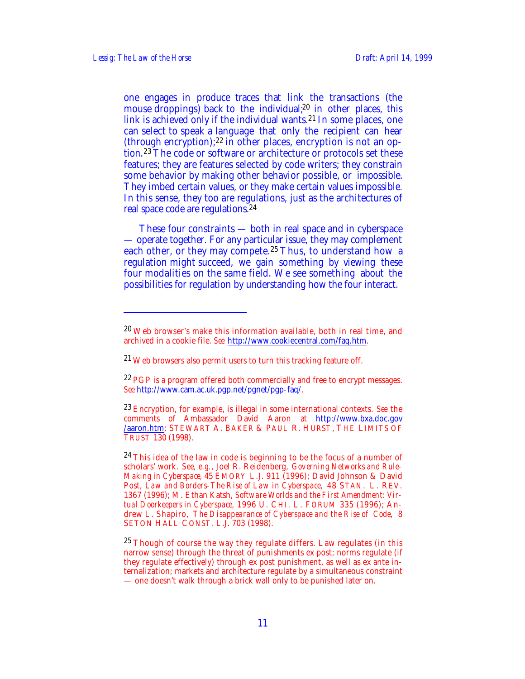$\overline{a}$ 

one engages in produce traces that link the transactions (the mouse droppings) back to the individual;<sup>20</sup> in other places, this link is achieved only if the individual wants.<sup>21</sup> In some places, one can select to speak a language that only the recipient can hear (through encryption);<sup>22</sup> in other places, encryption is not an option.23 The code or software or architecture or protocols set these features; they are features selected by code writers; they constrain some behavior by making other behavior possible, or impossible. They imbed certain values, or they make certain values impossible. In this sense, they too are regulations, just as the architectures of real space code are regulations.<sup>24</sup>

These four constraints — both in real space and in cyberspace — operate together. For any particular issue, they may complement each other, or they may compete.<sup>25</sup> Thus, to understand how a regulation might succeed, we gain something by viewing these four modalities on the same field. We see something about the possibilities for regulation by understanding how the four interact.

<sup>20</sup> Web browser's make this information available, both in real time, and archived in a cookie file. *See* http://www.cookiecentral.com/faq.htm .

<sup>&</sup>lt;sup>21</sup> Web browsers also permit users to turn this tracking feature off.

<sup>&</sup>lt;sup>22</sup> PGP is a program offered both commercially and free to encrypt messages. *See* http://www.cam.ac.uk.pgp.net/pgnet/pgp-faq/ .

<sup>23</sup> Encryption, for example, is illegal in some international contexts. *See* the comments of Ambassador David Aaron at http://www.bxa.doc.gov **/aaron.htm; STEWART A. BAKER & PAUL R. HURST, THE LIMITS OF** TRUST 130 (1998).

<sup>&</sup>lt;sup>24</sup> This idea of the law in code is beginning to be the focus of a number of scholars' work. *See, e.g.*, Joel R. Reidenberg, *Governing Networks and Rule-Making in Cyberspace,* 45 EMORY L.J. 911 (1996); David Johnson & David Post, *Law and Borders-The Rise of Law in Cyberspace,* 48 STAN. L. REV. 1367 (1996); M. Ethan Katsh, *Software Worlds and the First Amendment: Virtual Doorkeepers in Cyberspace*, 1996 U. CHI. L. FORUM 335 (1996); Andrew L. Shapiro, *The Disappearance of Cyberspace and the Rise of Code*, 8 SETON HALL CONST. L.J. 703 (1998).

<sup>&</sup>lt;sup>25</sup> Though of course the way they regulate differs. Law regulates (in this narrow sense) through the threat of punishments ex post; norms regulate (if they regulate effectively) through ex post punishment, as well as ex ante internalization; markets and architecture regulate by a simultaneous constraint — one doesn't walk through a brick wall only to be punished later on.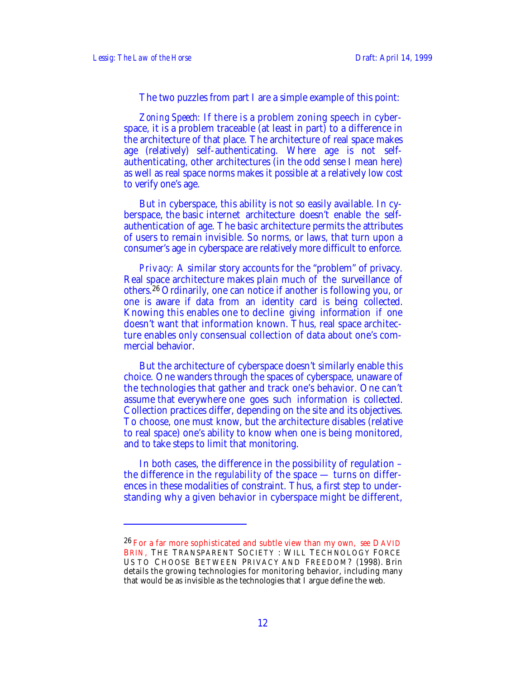The two puzzles from part I are a simple example of this point:

*Zoning Speech:* If there is a problem zoning speech in cyberspace, it is a problem traceable (at least in part) to a difference in the architecture of that place. The architecture of real space makes age (relatively) self-authenticating. Where age is not selfauthenticating, other architectures (in the odd sense I mean here) as well as real space norms makes it possible at a relatively low cost to verify one's age.

But in cyberspace, this ability is not so easily available. In cyberspace, the basic internet architecture doesn't enable the selfauthentication of age. The basic architecture permits the attributes of users to remain invisible. So norms, or laws, that turn upon a consumer's age in cyberspace are relatively more difficult to enforce.

*Privacy:* A similar story accounts for the "problem" of privacy. Real space architecture makes plain much of the surveillance of others.26 Ordinarily, one can notice if another is following you, or one is aware if data from an identity card is being collected. Knowing this enables one to decline giving information if one doesn't want that information known. Thus, real space architecture enables only consensual collection of data about one's commercial behavior.

But the architecture of cyberspace doesn't similarly enable this choice. One wanders through the spaces of cyberspace, unaware of the technologies that gather and track one's behavior. One can't assume that everywhere one goes such information is collected. Collection practices differ, depending on the site and its objectives. To choose, one must know, but the architecture disables (relative to real space) one's ability to know when one is being monitored, and to take steps to limit that monitoring.

In both cases, the difference in the possibility of regulation – the difference in the *regulability* of the space — turns on differences in these modalities of constraint. Thus, a first step to understanding why a given behavior in cyberspace might be different,

<sup>26</sup> For a far more sophisticated and subtle view than my own, *see* DAVID BRIN, THE TRANSPARENT SOCIETY : WILL TECHNOLOGY FORCE US TO CHOOSE BETWEEN PRIVACY AND FREEDOM? (1998). Brin details the growing technologies for monitoring behavior, including many that would be as invisible as the technologies that I argue define the web.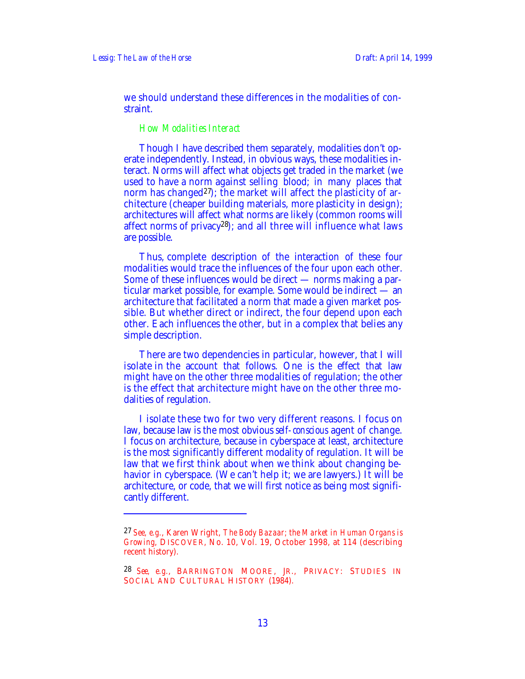we should understand these differences in the modalities of constraint.

#### *How Modalities Interact*

Though I have described them separately, modalities don't operate independently. Instead, in obvious ways, these modalities interact. Norms will affect what objects get traded in the market (we used to have a norm against selling blood; in many places that norm has changed<sup>27</sup>); the market will affect the plasticity of architecture (cheaper building materials, more plasticity in design); architectures will affect what norms are likely (common rooms will affect norms of privacy28); and all three will influence what laws are possible.

Thus, complete description of the interaction of these four modalities would trace the influences of the four upon each other. Some of these influences would be direct — norms making a particular market possible, for example. Some would be indirect — an architecture that facilitated a norm that made a given market possible. But whether direct or indirect, the four depend upon each other. Each influences the other, but in a complex that belies any simple description.

There are two dependencies in particular, however, that I will isolate in the account that follows. One is the effect that law might have on the other three modalities of regulation; the other is the effect that architecture might have on the other three modalities of regulation.

I isolate these two for two very different reasons. I focus on law, because law is the most obvious *self-conscious* agent of change. I focus on architecture, because in cyberspace at least, architecture is the most significantly different modality of regulation. It will be law that we first think about when we think about changing behavior in cyberspace. (We can't help it; we are lawyers.) It will be architecture, or code, that we will first notice as being most significantly different.

<sup>27</sup> *See, e.g.*, Karen Wright, *The Body Bazaar; the Market in Human Organs is Growing*, DISCOVER, No. 10, Vol. 19, October 1998, at 114 (describing recent history).

<sup>28</sup> *See, e.g.*, BARRINGTON MOORE, JR., PRIVACY: STUDIES IN SOCIAL AND CULTURAL HISTORY (1984).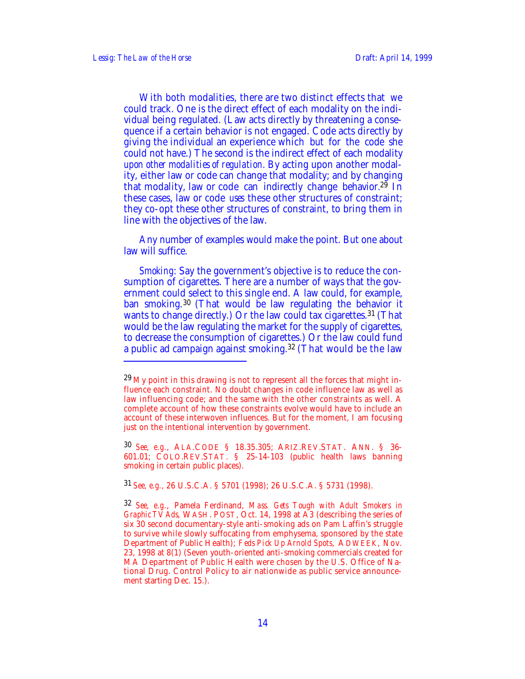$\overline{a}$ 

With both modalities, there are two distinct effects that we could track. One is the direct effect of each modality on the individual being regulated. (Law acts directly by threatening a consequence if a certain behavior is not engaged. Code acts directly by giving the individual an experience which but for the code she could not have.) The second is the indirect effect of each modality *upon other modalities of regulation.* By acting upon another modality, either law or code can change that modality; and by changing that modality, law or code can indirectly change behavior.<sup>29</sup> In these cases, law or code *uses* these other structures of constraint; they co-opt these other structures of constraint, to bring them in line with the objectives of the law.

Any number of examples would make the point. But one about law will suffice.

*Smoking*: Say the government's objective is to reduce the consumption of cigarettes. There are a number of ways that the government could select to this single end. A law could, for example, ban smoking.<sup>30</sup> (That would be law regulating the behavior it wants to change directly.) Or the law could tax cigarettes.31 (That would be the law regulating the market for the supply of cigarettes, to decrease the consumption of cigarettes.) Or the law could fund a public ad campaign against smoking.32 (That would be the law

31 *See, e.g.*, 26 U.S.C.A. § 5701 (1998); 26 U.S.C.A. § 5731 (1998).

 $^{29}$  My point in this drawing is not to represent all the forces that might influence each constraint. No doubt changes in code influence law as well as law influencing code; and the same with the other constraints as well. A complete account of how these constraints evolve would have to include an account of these interwoven influences. But for the moment, I am focusing just on the intentional intervention by government.

<sup>30</sup> *See, e.g.*, ALA.CODE § 18.35.305; ARIZ.REV.STAT. ANN. § 36- 601.01; COLO.REV.STAT. § 25-14-103 (public health laws banning smoking in certain public places).

<sup>32</sup> *See, e.g.*, Pamela Ferdinand, *Mass. Gets Tough with Adult Smokers in Graphic TV Ads*, WASH. POST, Oct. 14, 1998 at A3 (describing the series of six 30 second documentary-style anti-smoking ads on Pam Laffin's struggle to survive while slowly suffocating from emphysema, sponsored by the state Department of Public Health); *Feds Pick Up Arnold Spots*, ADWEEK, Nov. 23, 1998 at 8(1) (Seven youth-oriented anti-smoking commercials created for MA Department of Public Health were chosen by the U.S. Office of National Drug. Control Policy to air nationwide as public service announcement starting Dec. 15.).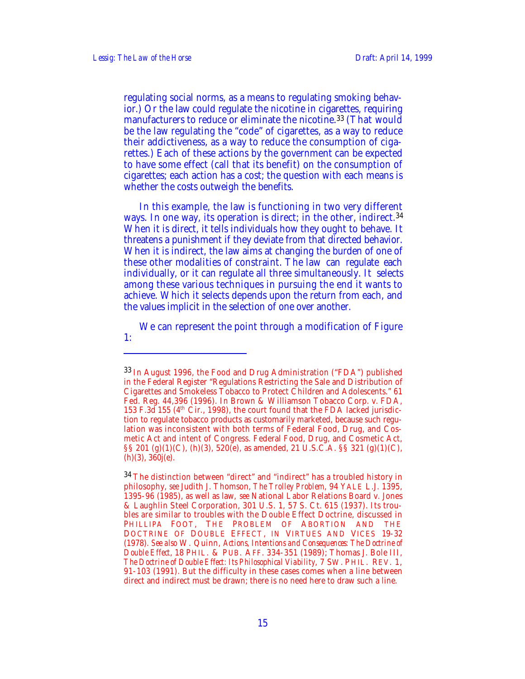$\overline{a}$ 

regulating social norms, as a means to regulating smoking behavior.) Or the law could regulate the nicotine in cigarettes, requiring manufacturers to reduce or eliminate the nicotine.<sup>33</sup> (That would be the law regulating the "code" of cigarettes, as a way to reduce their addictiveness, as a way to reduce the consumption of cigarettes.) Each of these actions by the government can be expected to have some effect (call that its benefit) on the consumption of cigarettes; each action has a cost; the question with each means is whether the costs outweigh the benefits.

In this example, the law is functioning in two very different ways. In one way, its operation is direct; in the other, indirect.<sup>34</sup> When it is direct, it tells individuals how they ought to behave. It threatens a punishment if they deviate from that directed behavior. When it is indirect, the law aims at changing the burden of one of these other modalities of constraint. The law can regulate each individually, or it can regulate all three simultaneously. It selects among these various techniques in pursuing the end it wants to achieve. Which it selects depends upon the return from each, and the values implicit in the selection of one over another.

We can represent the point through a modification of Figure 1:

<sup>33</sup> In August 1996, the Food and Drug Administration ("FDA") published in the Federal Register "Regulations Restricting the Sale and Distribution of Cigarettes and Smokeless Tobacco to Protect Children and Adolescents." 61 Fed. Reg. 44,396 (1996). In Brown & Williamson Tobacco Corp. v. FDA, 153 F.3d 155 ( $4<sup>th</sup>$  Cir., 1998), the court found that the FDA lacked jurisdiction to regulate tobacco products as customarily marketed, because such regulation was inconsistent with both terms of Federal Food, Drug, and Cosmetic Act and intent of Congress. Federal Food, Drug, and Cosmetic Act, §§ 201 (g)(1)(C), (h)(3), 520(e), as amended, 21 U.S.C.A. §§ 321 (g)(1)(C),  $(h)(3)$ ,  $360j(e)$ .

<sup>&</sup>lt;sup>34</sup> The distinction between "direct" and "indirect" has a troubled history in philosophy, *see* Judith J. Thomson, *The Trolley Problem*, 94 YALE L.J. 1395, 1395-96 (1985), as well as law, *see* National Labor Relations Board v. Jones & Laughlin Steel Corporation, 301 U.S. 1, 57 S. Ct. 615 (1937). Its troubles are similar to troubles with the Double Effect Doctrine, discussed in PHILLIPA FOOT, THE PROBLEM OF ABORTION AND THE DOCTRINE OF DOUBLE EFFECT, IN VIRTUES AND VICES 19-32 (1978). *See also* W. Quinn, *Actions, Intentions and Consequences: The Doctrine of Double Effect*, 18 PHIL. & PUB. AFF. 334-351 (1989); Thomas J. Bole III, *The Doctrine of Double Effect: Its Philosophical Viability*, 7 SW. PHIL. REV. 1, 91-103 (1991). But the difficulty in these cases comes when a line between direct and indirect must be drawn; there is no need here to draw such a line.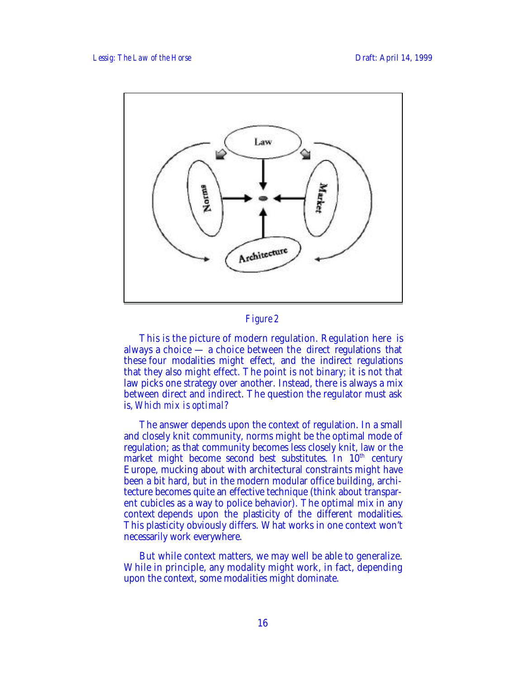

# *Figure 2*

This is the picture of modern regulation. Regulation here is always a choice — a choice between the direct regulations that these four modalities might effect, and the indirect regulations that they also might effect. The point is not binary; it is not that law picks one strategy over another. Instead, there is always a mix between direct and indirect. The question the regulator must ask is, *Which mix is optimal*?

The answer depends upon the context of regulation. In a small and closely knit community, norms might be the optimal mode of regulation; as that community becomes less closely knit, law or the market might become second best substitutes. In 10<sup>th</sup> century Europe, mucking about with architectural constraints might have been a bit hard, but in the modern modular office building, architecture becomes quite an effective technique (think about transparent cubicles as a way to police behavior). The optimal mix in any context depends upon the plasticity of the different modalities. This plasticity obviously differs. What works in one context won't necessarily work everywhere.

But while context matters, we may well be able to generalize. While in principle, any modality might work, in fact, depending upon the context, some modalities might dominate.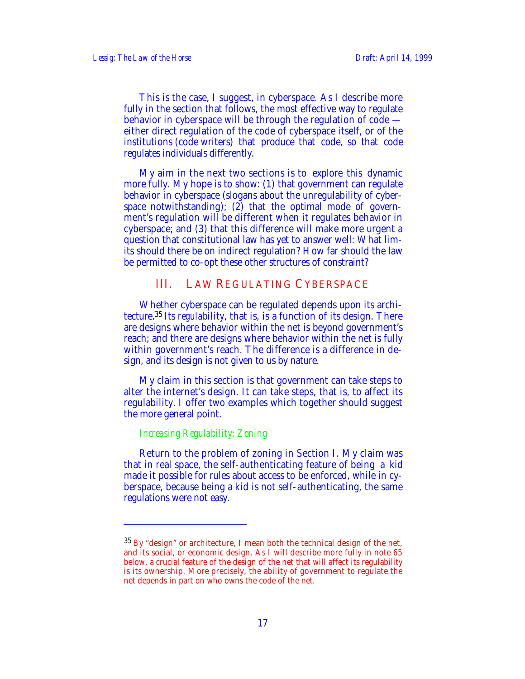This is the case, I suggest, in cyberspace. As I describe more fully in the section that follows, the most effective way to regulate behavior in cyberspace will be through the regulation of code either direct regulation of the code of cyberspace itself, or of the institutions (code writers) that produce that code, so that code regulates individuals differently.

My aim in the next two sections is to explore this dynamic more fully. My hope is to show: (1) that government can regulate behavior in cyberspace (slogans about the unregulability of cyberspace notwithstanding); (2) that the optimal mode of government's regulation will be different when it regulates behavior in cyberspace; and (3) that this difference will make more urgent a question that constitutional law has yet to answer well: What limits should there be on indirect regulation? How far should the law be permitted to co-opt these other structures of constraint?

# III. LAW REGULATING CYBERSPACE

Whether cyberspace can be regulated depends upon its architecture.35 Its *regulability*, that is, is a function of its design. There are designs where behavior within the net is beyond government's reach; and there are designs where behavior within the net is fully within government's reach. The difference is a difference in design, and its design is not given to us by nature.

My claim in this section is that government can take steps to alter the internet's design. It can take steps, that is, to affect its regulability. I offer two examples which together should suggest the more general point.

### *Increasing Regulability: Zoning*

1

Return to the problem of zoning in Section I. My claim was that in real space, the self-authenticating feature of being a kid made it possible for rules about access to be enforced, while in cyberspace, because being a kid is not self-authenticating, the same regulations were not easy.

 $35$  By "design" or architecture, I mean both the technical design of the net, and its social, or economic design. As I will describe more fully in note 65 below, a crucial feature of the design of the net that will affect its regulability is its ownership. More precisely, the ability of government to regulate the net depends in part on who owns the code of the net.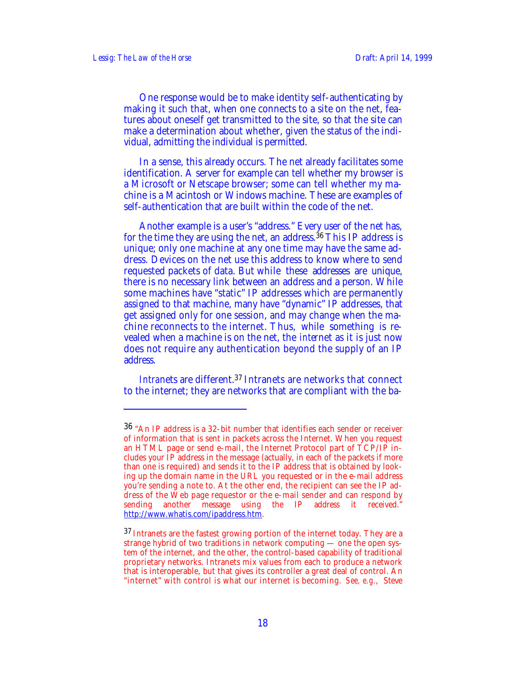One response would be to make identity self-authenticating by making it such that, when one connects to a site on the net, features about oneself get transmitted to the site, so that the site can make a determination about whether, given the status of the individual, admitting the individual is permitted.

In a sense, this already occurs. The net already facilitates some identification. A server for example can tell whether my browser is a Microsoft or Netscape browser; some can tell whether my machine is a Macintosh or Windows machine. These are examples of self-authentication that are built within the code of the net.

Another example is a user's "address." Every user of the net has, for the time they are using the net, an address.<sup>36</sup> This IP address is unique; only one machine at any one time may have the same address. Devices on the net use this address to know where to send requested packets of data. But while these addresses are unique, there is no necessary link between an address and a person. While some machines have "static" IP addresses which are permanently assigned to that machine, many have "dynamic" IP addresses, that get assigned only for one session, and may change when the machine reconnects to the internet. Thus, while something is revealed when a machine is on the net, the *inter*net as it is just now does not require any authentication beyond the supply of an IP address.

*Intra*nets are different.37 Intranets are networks that connect to the internet; they are networks that are compliant with the ba-

<sup>36 &</sup>quot;An IP address is a 32-bit number that identifies each sender or receiver of information that is sent in packets across the Internet. When you request an HTML page or send e-mail, the Internet Protocol part of TCP/IP includes your IP address in the message (actually, in each of the packets if more than one is required) and sends it to the IP address that is obtained by looking up the domain name in the URL you requested or in the e-mail address you're sending a note to. At the other end, the recipient can see the IP address of the Web page requestor or the e-mail sender and can respond by<br>sending another message using the IP address it received." sending another message using the IP http://www.whatis.com/ipaddress.htm.

<sup>&</sup>lt;sup>37</sup> Intranets are the fastest growing portion of the internet today. They are a strange hybrid of two traditions in network computing — one the open system of the internet, and the other, the control-based capability of traditional proprietary networks. Intranets mix values from each to produce a network that is interoperable, but that gives its controller a great deal of control. An "internet" with control is what our internet is becoming. *See, e.g.*, Steve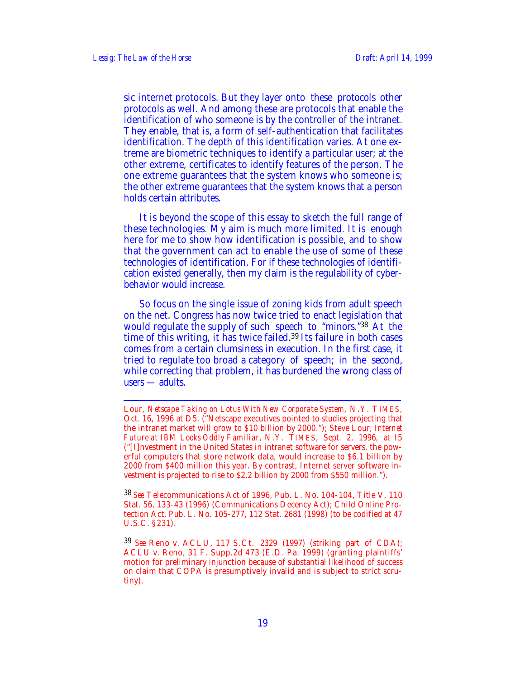sic internet protocols. But they layer onto these protocols other protocols as well. And among these are protocols that enable the identification of who someone is by the controller of the intranet. They enable, that is, a form of self-authentication that facilitates identification. The depth of this identification varies. At one extreme are biometric techniques to identify a particular user; at the other extreme, certificates to identify features of the person. The one extreme guarantees that the system knows who someone is; the other extreme guarantees that the system knows that a person holds certain attributes.

It is beyond the scope of this essay to sketch the full range of these technologies. My aim is much more limited. It is enough here for me to show how identification is possible, and to show that the government can act to enable the use of some of these technologies of identification. For if these technologies of identification existed generally, then my claim is the regulability of cyberbehavior would increase.

So focus on the single issue of zoning kids from adult speech on the net. Congress has now twice tried to enact legislation that would regulate the supply of such speech to "minors."<sup>38</sup> At the time of this writing, it has twice failed.39 Its failure in both cases comes from a certain clumsiness in execution. In the first case, it tried to regulate too broad a category of speech; in the second, while correcting that problem, it has burdened the wrong class of users — adults.

38 *See* Telecommunications Act of 1996, Pub. L. No. 104-104, Title V, 110 Stat. 56, 133-43 (1996) (Communications Decency Act); Child Online Protection Act, Pub. L. No. 105-277, 112 Stat. 2681 (1998) (to be codified at 47 U.S.C. §231).

39 *See* Reno v. ACLU, 117 S.Ct. 2329 (1997) (striking part of CDA); ACLU v. Reno, 31 F. Supp.2d 473 (E.D. Pa. 1999) (granting plaintiffs' motion for preliminary injunction because of substantial likelihood of success on claim that COPA is presumptively invalid and is subject to strict scrutiny).

Lour, *Netscape Taking on Lotus With New Corporate System*, N.Y. TIMES, Oct. 16, 1996 at D5. ("Netscape executives pointed to studies projecting that the intranet market will grow to \$10 billion by 2000."); Steve Lour*, Internet Future at IBM Looks Oddly Familiar*, N.Y. TIMES, Sept. 2, 1996, at I5 ("[I]nvestment in the United States in intranet software for servers, the powerful computers that store network data, would increase to \$6.1 billion by 2000 from \$400 million this year. By contrast, Internet server software investment is projected to rise to \$2.2 billion by 2000 from \$550 million.").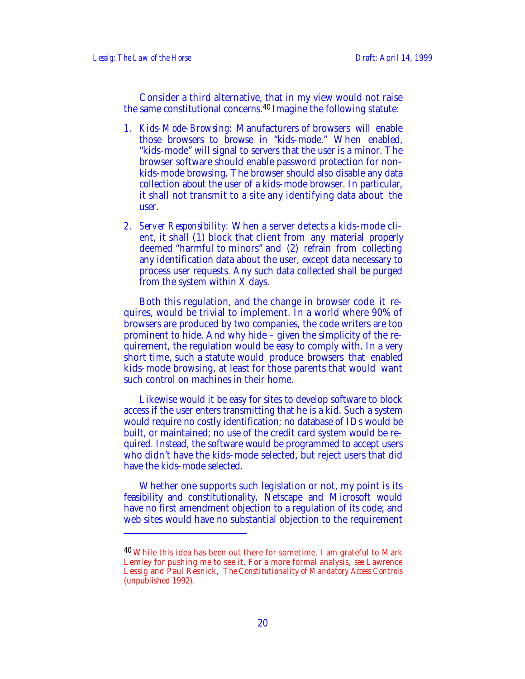$\overline{a}$ 

Consider a third alternative, that in my view would not raise the same constitutional concerns.40 Imagine the following statute:

- *1. Kids-Mode-Browsing:* Manufacturers of browsers will enable those browsers to browse in "kids-mode." When enabled, "kids-mode" will signal to servers that the user is a minor. The browser software should enable password protection for nonkids-mode browsing. The browser should also disable any data collection about the user of a kids-mode browser. In particular, it shall not transmit to a site any identifying data about the user.
- *2. Server Responsibility:* When a server detects a kids-mode client, it shall (1) block that client from any material properly deemed "harmful to minors" and (2) refrain from collecting any identification data about the user, except data necessary to process user requests. Any such data collected shall be purged from the system within X days.

Both this regulation, and the change in browser code it requires, would be trivial to implement. In a world where 90% of browsers are produced by two companies, the code writers are too prominent to hide. And why hide – given the simplicity of the requirement, the regulation would be easy to comply with. In a very short time, such a statute would produce browsers that enabled kids-mode browsing, at least for those parents that would want such control on machines in their home.

Likewise would it be easy for sites to develop software to block access if the user enters transmitting that he is a kid. Such a system would require no costly identification; no database of IDs would be built, or maintained; no use of the credit card system would be required. Instead, the software would be programmed to accept users who didn't have the kids-mode selected, but reject users that did have the kids-mode selected.

Whether one supports such legislation or not, my point is its feasibility and constitutionality. Netscape and Microsoft would have no first amendment objection to a regulation of its code; and web sites would have no substantial objection to the requirement

<sup>&</sup>lt;sup>40</sup> While this idea has been out there for sometime, I am grateful to Mark Lemley for pushing me to see it. For a more formal analysis, *see* Lawrence Lessig and Paul Resnick, *The Constitutionality of Mandatory Access Controls* (unpublished 1992).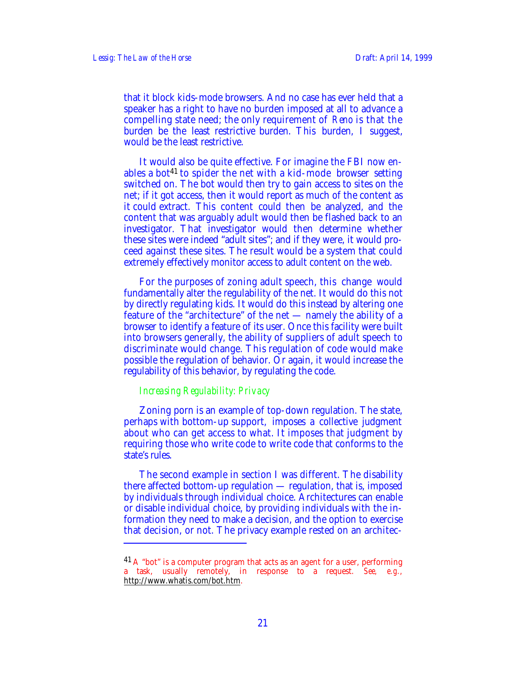that it block kids-mode browsers. And no case has ever held that a speaker has a right to have no burden imposed at all to advance a compelling state need; the only requirement of *Reno* is that the burden be the least restrictive burden. This burden, I suggest, would be the least restrictive.

It would also be quite effective. For imagine the FBI now enables a bot<sup>41</sup> to spider the net with a kid-mode browser setting switched on. The bot would then try to gain access to sites on the net; if it got access, then it would report as much of the content as it could extract. This content could then be analyzed, and the content that was arguably adult would then be flashed back to an investigator. That investigator would then determine whether these sites were indeed "adult sites"; and if they were, it would proceed against these sites. The result would be a system that could extremely effectively monitor access to adult content on the web.

For the purposes of zoning adult speech, this change would fundamentally alter the regulability of the net. It would do this not by directly regulating kids. It would do this instead by altering one feature of the "architecture" of the net — namely the ability of a browser to identify a feature of its user. Once this facility were built into browsers generally, the ability of suppliers of adult speech to discriminate would change. This regulation of code would make possible the regulation of behavior. Or again, it would increase the regulability of this behavior, by regulating the code.

#### *Increasing Regulability: Privacy*

1

Zoning porn is an example of top-down regulation. The state, perhaps with bottom-up support, imposes a collective judgment about who can get access to what. It imposes that judgment by requiring those who write code to write code that conforms to the state's rules.

The second example in section I was different. The disability there affected bottom-up regulation — regulation, that is, imposed by individuals through individual choice. Architectures can enable or disable individual choice, by providing individuals with the information they need to make a decision, and the option to exercise that decision, or not. The privacy example rested on an architec-

 $41A$  "bot" is a computer program that acts as an agent for a user, performing a task, usually remotely, in response to a request. *See, e.g.*, http://www.whatis.com/bot.htm.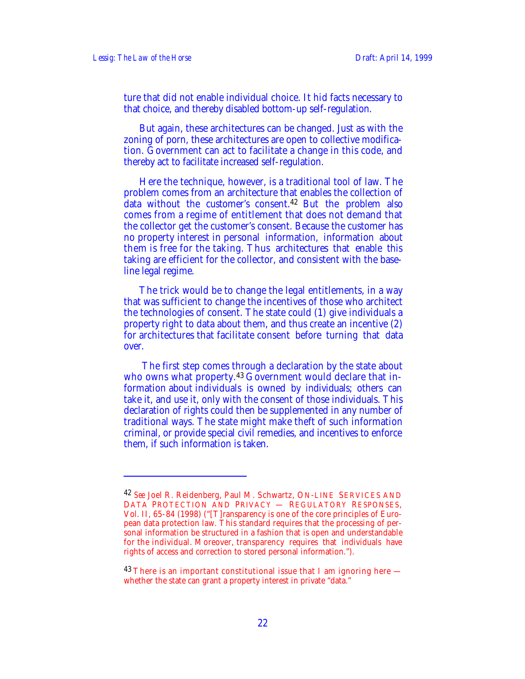ture that did not enable individual choice. It hid facts necessary to that choice, and thereby disabled bottom-up self-regulation.

But again, these architectures can be changed. Just as with the zoning of porn, these architectures are open to collective modification. Government can act to facilitate a change in this code, and thereby act to facilitate increased self-regulation.

Here the technique, however, is a traditional tool of law. The problem comes from an architecture that enables the collection of data without the customer's consent.<sup>42</sup> But the problem also comes from a regime of entitlement that does not demand that the collector get the customer's consent. Because the customer has no property interest in personal information, information about them is free for the taking. Thus architectures that enable this taking are efficient for the collector, and consistent with the baseline legal regime.

The trick would be to change the legal entitlements, in a way that was sufficient to change the incentives of those who architect the technologies of consent. The state could (1) give individuals a property right to data about them, and thus create an incentive (2) for architectures that facilitate consent before turning that data over.

 The first step comes through a declaration by the state about who owns what property.<sup>43</sup> Government would declare that information about individuals is owned by individuals; others can take it, and use it, only with the consent of those individuals. This declaration of rights could then be supplemented in any number of traditional ways. The state might make theft of such information criminal, or provide special civil remedies, and incentives to enforce them, if such information is taken.

<sup>42</sup> *See* Joel R. Reidenberg, Paul M. Schwartz, ON-LINE SERVICES AND DATA PROTECTION AND PRIVACY — REGULATORY RESPONSES, Vol. II, 65-84 (1998) ("[T]ransparency is one of the core principles of European data protection law. This standard requires that the processing of personal information be structured in a fashion that is open and understandable for the individual. Moreover, transparency requires that individuals have rights of access and correction to stored personal information.").

 $^{43}$  There is an important constitutional issue that I am ignoring here  $$ whether the state can grant a property interest in private "data."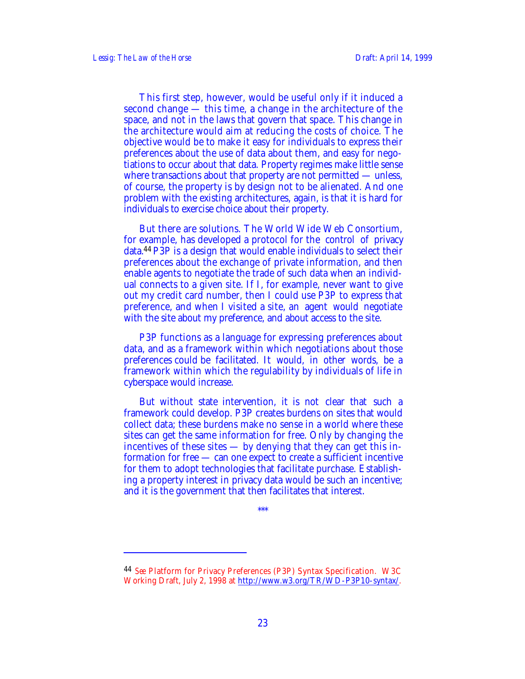This first step, however, would be useful only if it induced a second change — this time, a change in the architecture of the space, and not in the laws that govern that space. This change in the architecture would aim at reducing the costs of choice. The objective would be to make it easy for individuals to express their preferences about the use of data about them, and easy for negotiations to occur about that data. Property regimes make little sense where transactions about that property are not permitted — unless, of course, the property is by design not to be alienated. And one problem with the existing architectures, again, is that it is hard for individuals to exercise choice about their property.

But there are solutions. The World Wide Web Consortium, for example, has developed a protocol for the control of privacy data.44 P3P is a design that would enable individuals to select their preferences about the exchange of private information, and then enable agents to negotiate the trade of such data when an individual connects to a given site. If I, for example, never want to give out my credit card number, then I could use P3P to express that preference, and when I visited a site, an agent would negotiate with the site about my preference, and about access to the site.

P3P functions as a language for expressing preferences about data, and as a framework within which negotiations about those preferences could be facilitated. It would, in other words, be a framework within which the regulability by individuals of life in cyberspace would increase.

But without state intervention, it is not clear that such a framework could develop. P3P creates burdens on sites that would collect data; these burdens make no sense in a world where these sites can get the same information for free. Only by changing the incentives of these sites  $-$  by denying that they can get this information for free — can one expect to create a sufficient incentive for them to adopt technologies that facilitate purchase. Establishing a property interest in privacy data would be such an incentive; and it is the government that then facilitates that interest.

\*\*\*

<sup>44</sup> *See* Platform for Privacy Preferences (P3P) Syntax Specification. W3C Working Draft, July 2, 1998 at http://www.w3.org/TR/WD-P3P10-syntax/ .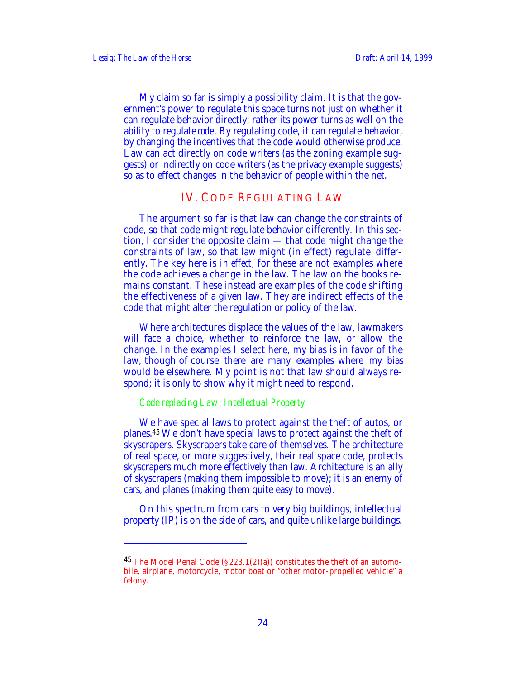My claim so far is simply a possibility claim. It is that the government's power to regulate this space turns not just on whether it can regulate behavior directly; rather its power turns as well on the ability to regulate *code*. By regulating code, it can regulate behavior, by changing the incentives that the code would otherwise produce. Law can act directly on code writers (as the zoning example suggests) or indirectly on code writers (as the privacy example suggests) so as to effect changes in the behavior of people within the net.

# IV. CODE REGULATING LAW

The argument so far is that law can change the constraints of code, so that code might regulate behavior differently. In this section, I consider the opposite claim — that code might change the constraints of law, so that law might (in effect) regulate differently. The key here is *in effect*, for these are not examples where the code achieves a change in the law. The law on the books remains constant. These instead are examples of the code shifting the effectiveness of a given law. They are indirect effects of the code that might alter the regulation or policy of the law.

Where architectures displace the values of the law, lawmakers will face a choice, whether to reinforce the law, or allow the change. In the examples I select here, my bias is in favor of the law, though of course there are many examples where my bias would be elsewhere. My point is not that law should always respond; it is only to show why it might need to respond.

#### *Code replacing Law: Intellectual Property*

We have special laws to protect against the theft of autos, or planes.45 We don't have special laws to protect against the theft of skyscrapers. Skyscrapers take care of themselves. The architecture of real space, or more suggestively, their real space code, protects skyscrapers much more effectively than law. Architecture is an ally of skyscrapers (making them impossible to move); it is an enemy of cars, and planes (making them quite easy to move).

On this spectrum from cars to very big buildings, intellectual property (IP) is on the side of cars, and quite unlike large buildings.

<sup>&</sup>lt;sup>45</sup> The Model Penal Code  $(S223.1(2)(a))$  constitutes the theft of an automobile, airplane, motorcycle, motor boat or "other motor-propelled vehicle" a felony.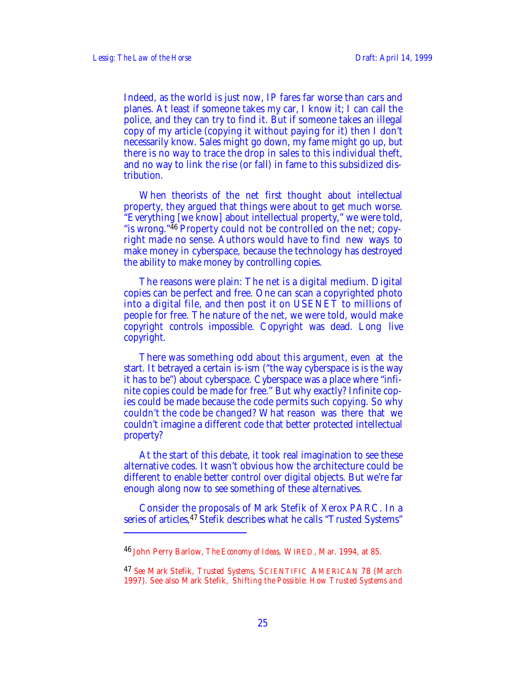Indeed, as the world is just now, IP fares far worse than cars and planes. At least if someone takes my car, I know it; I can call the police, and they can try to find it. But if someone takes an illegal copy of my article (copying it without paying for it) then I don't necessarily know. Sales might go down, my fame might go up, but there is no way to trace the drop in sales to this individual theft, and no way to link the rise (or fall) in fame to this subsidized distribution.

When theorists of the net first thought about intellectual property, they argued that things were about to get much worse. "Everything [we know] about intellectual property," we were told, "is wrong."46 Property could not be controlled on the net; copyright made no sense. Authors would have to find new ways to make money in cyberspace, because the technology has destroyed the ability to make money by controlling copies.

The reasons were plain: The net is a digital medium. Digital copies can be perfect and free. One can scan a copyrighted photo into a digital file, and then post it on USENET to millions of people for free. The nature of the net, we were told, would make copyright controls impossible. Copyright was dead. Long live copyright.

There was something odd about this argument, even at the start. It betrayed a certain is-ism ("the way cyberspace is is the way it has to be") about cyberspace. Cyberspace was a place where "infinite copies could be made for free." But why exactly? Infinite copies could be made because the code permits such copying. So why couldn't the code be changed? What reason was there that we couldn't imagine a different code that better protected intellectual property?

At the start of this debate, it took real imagination to see these alternative codes. It wasn't obvious how the architecture could be different to enable better control over digital objects. But we're far enough along now to see something of these alternatives.

Consider the proposals of Mark Stefik of Xerox PARC. In a series of articles, <sup>47</sup> Stefik describes what he calls "Trusted Systems"

<sup>46</sup> John Perry Barlow, *The Economy of Ideas*, WIRED, Mar. 1994, at 85.

<sup>47</sup> *See* Mark Stefik, *Trusted Systems*, SCIENTIFIC AMERICAN 78 (March 1997). See also Mark Stefik, *Shifting the Possible: How Trusted Systems and*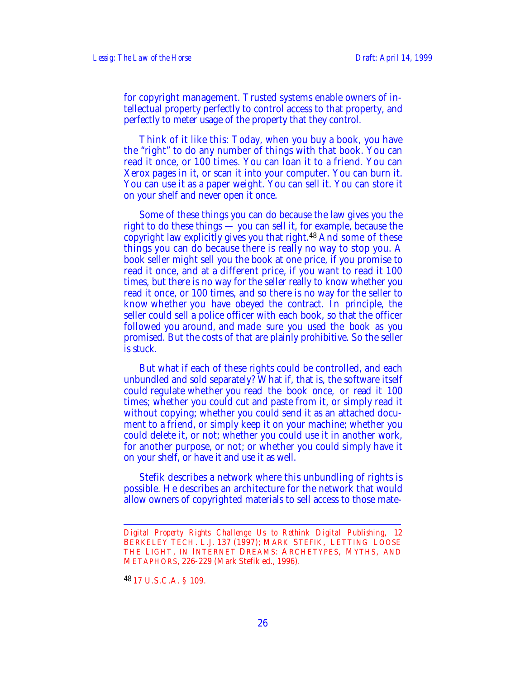for copyright management. Trusted systems enable owners of intellectual property perfectly to control access to that property, and perfectly to meter usage of the property that they control.

Think of it like this: Today, when you buy a book, you have the "right" to do any number of things with that book. You can read it once, or 100 times. You can loan it to a friend. You can Xerox pages in it, or scan it into your computer. You can burn it. You can use it as a paper weight. You can sell it. You can store it on your shelf and never open it once.

Some of these things you can do because the law gives you the right to do these things — you can sell it, for example, because the copyright law explicitly gives you that right.48 And some of these things you can do because there is really no way to stop you. A book seller might sell you the book at one price, if you promise to read it once, and at a different price, if you want to read it 100 times, but there is no way for the seller really to know whether you read it once, or 100 times, and so there is no way for the seller to know whether you have obeyed the contract. In principle, the seller could sell a police officer with each book, so that the officer followed you around, and made sure you used the book as you promised. But the costs of that are plainly prohibitive. So the seller is stuck.

But what if each of these rights could be controlled, and each unbundled and sold separately? What if, that is, the software itself could regulate whether you read the book once, or read it 100 times; whether you could cut and paste from it, or simply read it without copying; whether you could send it as an attached document to a friend, or simply keep it on your machine; whether you could delete it, or not; whether you could use it in another work, for another purpose, or not; or whether you could simply have it on your shelf, or have it and use it as well.

Stefik describes a network where this unbundling of rights is possible. He describes an architecture for the network that would allow owners of copyrighted materials to sell access to those mate-

48 17 U.S.C.A. § 109.

<sup>1</sup> *Digital Property Rights Challenge Us to Rethink Digital Publishing*, 12 BERKELEY TECH. L.J. 137 (1997); MARK STEFIK, LETTING LOOSE THE LIGHT, IN INTERNET DREAMS: ARCHETYPES, MYTHS, AND METAPHORS, 226-229 (Mark Stefik ed., 1996).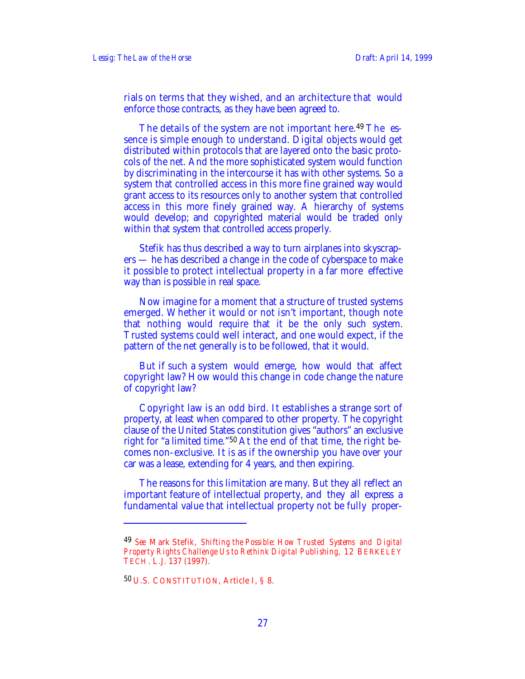rials on terms that they wished, and an architecture that would enforce those contracts, as they have been agreed to.

The details of the system are not important here.<sup>49</sup> The essence is simple enough to understand. Digital objects would get distributed within protocols that are layered onto the basic protocols of the net. And the more sophisticated system would function by discriminating in the intercourse it has with other systems. So a system that controlled access in this more fine grained way would grant access to its resources only to another system that controlled access in this more finely grained way. A hierarchy of systems would develop; and copyrighted material would be traded only within that system that controlled access properly.

Stefik has thus described a way to turn airplanes into skyscrapers — he has described a change in the code of cyberspace to make it possible to protect intellectual property in a far more effective way than is possible in real space.

Now imagine for a moment that a structure of trusted systems emerged. Whether it would or not isn't important, though note that nothing would require that it be the only such system. Trusted systems could well interact, and one would expect, if the pattern of the net generally is to be followed, that it would.

But if such a system would emerge, how would that affect copyright law? How would this change in code change the nature of copyright law?

Copyright law is an odd bird. It establishes a strange sort of property, at least when compared to other property. The copyright clause of the United States constitution gives "authors" an exclusive right for "a limited time."50 At the end of that time, the right becomes non-exclusive. It is as if the ownership you have over your car was a lease, extending for 4 years, and then expiring.

The reasons for this limitation are many. But they all reflect an important feature of intellectual property, and they all express a fundamental value that intellectual property not be fully proper-

 $\overline{a}$ 

<sup>49</sup> *See* Mark Stefik, *Shifting the Possible: How Trusted Systems and Digital Property Rights Challenge Us to Rethink Digital Publishing*, 12 BERKELEY TECH. L.J. 137 (1997).

<sup>50</sup> U.S. CONSTITUTION, Article I, § 8.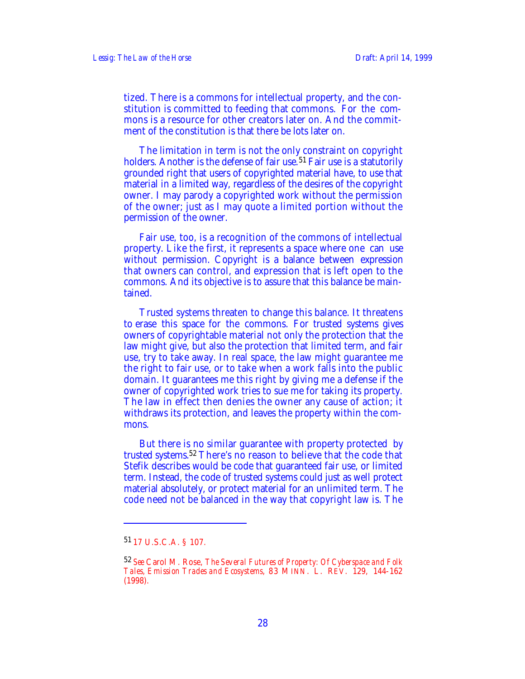tized. There is a commons for intellectual property, and the constitution is committed to feeding that commons. For the commons is a resource for other creators later on. And the commitment of the constitution is that there be lots later on.

The limitation in term is not the only constraint on copyright holders. Another is the defense of fair use.<sup>51</sup> Fair use is a statutorily grounded right that users of copyrighted material have, to use that material in a limited way, regardless of the desires of the copyright owner. I may parody a copyrighted work without the permission of the owner; just as I may quote a limited portion without the permission of the owner.

Fair use, too, is a recognition of the commons of intellectual property. Like the first, it represents a space where one can use without permission. Copyright is a balance between expression that owners can control, and expression that is left open to the commons. And its objective is to assure that this balance be maintained.

Trusted systems threaten to change this balance. It threatens to erase this space for the commons. For trusted systems gives owners of copyrightable material not only the protection that the law might give, but also the protection that limited term, and fair use, try to take away. In real space, the law might guarantee me the right to fair use, or to take when a work falls into the public domain. It guarantees me this right by giving me a defense if the owner of copyrighted work tries to sue me for taking its property. The law in effect then denies the owner any cause of action; it withdraws its protection, and leaves the property within the commons.

But there is no similar guarantee with property protected by trusted systems.52 There's no reason to believe that the code that Stefik describes would be code that guaranteed fair use, or limited term. Instead, the code of trusted systems could just as well protect material absolutely, or protect material for an unlimited term. The code need not be balanced in the way that copyright law is. The

 $\overline{a}$ 

<sup>51</sup> 17 U.S.C.A. § 107.

<sup>52</sup> *See* Carol M. Rose, *The Several Futures of Property: Of Cyberspace and Folk Tales, Emission Trades and Ecosystems*, 83 MINN. L. REV. 129, 144-162 (1998).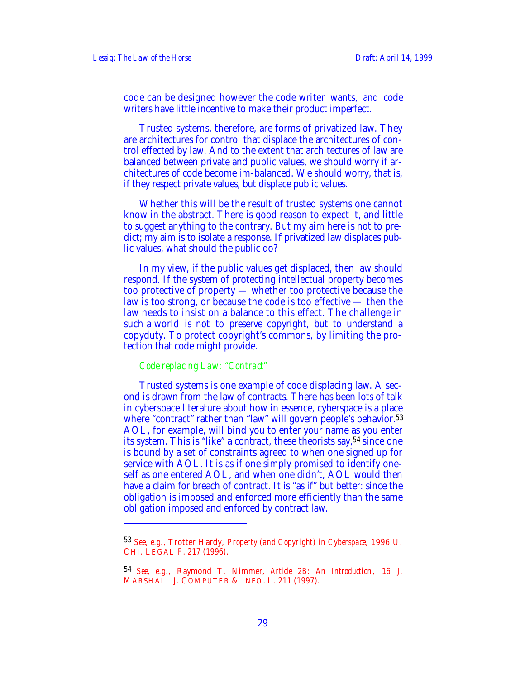code can be designed however the code writer wants, and code writers have little incentive to make their product imperfect.

Trusted systems, therefore, are forms of privatized law. They are architectures for control that displace the architectures of control effected by law. And to the extent that architectures of law are balanced between private and public values, we should worry if architectures of code become im-balanced. We should worry, that is, if they respect private values, but displace public values.

Whether this will be the result of trusted systems one cannot know in the abstract. There is good reason to expect it, and little to suggest anything to the contrary. But my aim here is not to predict; my aim is to isolate a response. If privatized law displaces public values, what should the public do?

In my view, if the public values get displaced, then law should respond. If the system of protecting intellectual property becomes too protective of property — whether too protective because the law is too strong, or because the code is too effective — then the law needs to insist on a balance to this effect. The challenge in such a world is not to preserve copyright, but to understand a copyduty. To protect copyright's commons, by limiting the protection that code might provide.

## *Code replacing Law: "Contract"*

 $\overline{a}$ 

Trusted systems is one example of code displacing law. A second is drawn from the law of contracts. There has been lots of talk in cyberspace literature about how in essence, cyberspace is a place where "contract" rather than "law" will govern people's behavior.<sup>53</sup> AOL, for example, will bind you to enter your name as you enter its system. This is "like" a contract, these theorists say,54 since one is bound by a set of constraints agreed to when one signed up for service with AOL. It is as if one simply promised to identify oneself as one entered AOL, and when one didn't, AOL would then have a claim for breach of contract. It is "as if" but better: since the obligation is imposed and enforced more efficiently than the same obligation imposed and enforced by contract law.

<sup>53</sup> *See, e.g.*, Trotter Hardy, *Property (and Copyright) in Cyberspace*, 1996 U. CHI. LEGAL F. 217 (1996).

<sup>54</sup> *See, e.g.*, Raymond T. Nimmer, *Article 2B: An Introduction*, 16 J. MARSHALL J. COMPUTER & INFO. L. 211 (1997).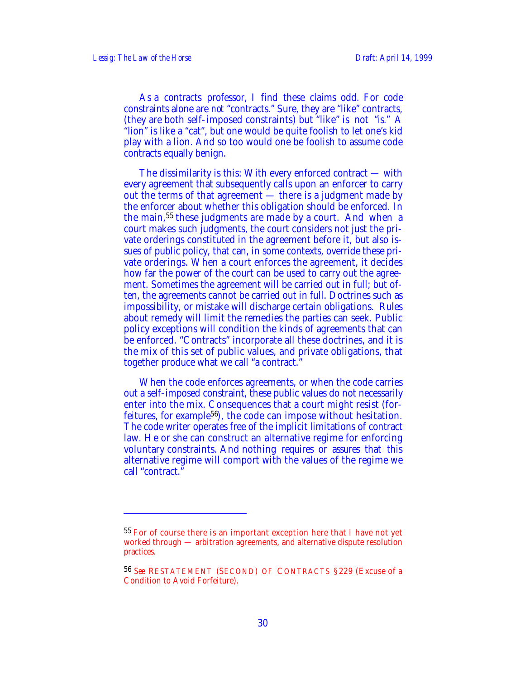As a contracts professor, I find these claims odd. For code constraints alone are *not* "contracts." Sure, they are "like" contracts, (they are both self-imposed constraints) but "like" is not "is." A "lion" is like a "cat", but one would be quite foolish to let one's kid play with a lion. And so too would one be foolish to assume code contracts equally benign.

The dissimilarity is this: With every enforced contract — with every agreement that subsequently calls upon an enforcer to carry out the terms of that agreement — there is a judgment made by the enforcer about whether this obligation should be enforced. In the main,55 these judgments are made by a court. And when a court makes such judgments, the court considers not just the private orderings constituted in the agreement before it, but also issues of public policy, that can, in some contexts, override these private orderings. When a court enforces the agreement, it decides how far the power of the court can be used to carry out the agreement. Sometimes the agreement will be carried out in full; but often, the agreements cannot be carried out in full. Doctrines such as impossibility, or mistake will discharge certain obligations. Rules about remedy will limit the remedies the parties can seek. Public policy exceptions will condition the kinds of agreements that can be enforced. "Contracts" incorporate all these doctrines, and it is the mix of this set of public values, and private obligations, that together produce what we call "a contract."

When the code enforces agreements, or when the code carries out a self-imposed constraint, these public values do not necessarily enter into the mix. Consequences that a court might resist (forfeitures, for example<sup>56</sup>), the code can impose without hesitation. The code writer operates free of the implicit limitations of contract law. He or she can construct an alternative regime for enforcing voluntary constraints. And nothing requires or assures that this alternative regime will comport with the values of the regime we call "contract."

<sup>&</sup>lt;sup>55</sup> For of course there is an important exception here that I have not yet worked through — arbitration agreements, and alternative dispute resolution practices.

<sup>56</sup> *See* RESTATEMENT (SECOND) OF CONTRACTS §229 (Excuse of a Condition to Avoid Forfeiture).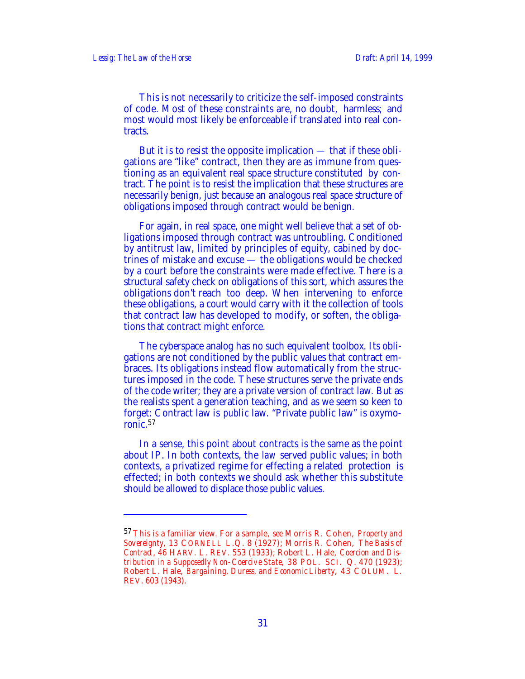This is not necessarily to criticize the self-imposed constraints of code. Most of these constraints are, no doubt, harmless; and most would most likely be enforceable if translated into real contracts.

But it *is* to resist the opposite implication — that if these obligations are "like" contract, then they are as immune from questioning as an equivalent real space structure constituted by contract. The point is to resist the implication that these structures are necessarily benign, just because an analogous real space structure of obligations imposed through contract would be benign.

For again, in real space, one might well believe that a set of obligations imposed through contract was untroubling. Conditioned by antitrust law, limited by principles of equity, cabined by doctrines of mistake and excuse — the obligations would be checked by a court before the constraints were made effective. There is a structural safety check on obligations of this sort, which assures the obligations don't reach too deep. When intervening to enforce these obligations, a court would carry with it the collection of tools that contract law has developed to modify, or soften, the obligations that contract might enforce.

The cyberspace analog has no such equivalent toolbox. Its obligations are not conditioned by the public values that contract embraces. Its obligations instead flow automatically from the structures imposed in the code. These structures serve the private ends of the code writer; they are a private version of contract law. But as the realists spent a generation teaching, and as we seem so keen to forget: Contract law is *public* law. "Private public law" is oxymoronic.<sup>57</sup>

In a sense, this point about contracts is the same as the point about IP. In both contexts, the *law* served public values; in both contexts, a privatized regime for effecting a related protection is effected; in both contexts we should ask whether this substitute should be allowed to displace those public values.

<sup>57</sup> This is a familiar view. For a sample, *see* Morris R. Cohen, *Property and Sovereignty*, 13 CORNELL L.Q. 8 (1927); Morris R. Cohen, *The Basis of Contract*, 46 HARV. L. REV. 553 (1933); Robert L. Hale, *Coercion and Distribution in a Supposedly Non-Coercive State*, 38 POL. SCI. Q. 470 (1923); Robert L. Hale, *Bargaining, Duress, and Economic Liberty*, 43 COLUM. L. REV. 603 (1943).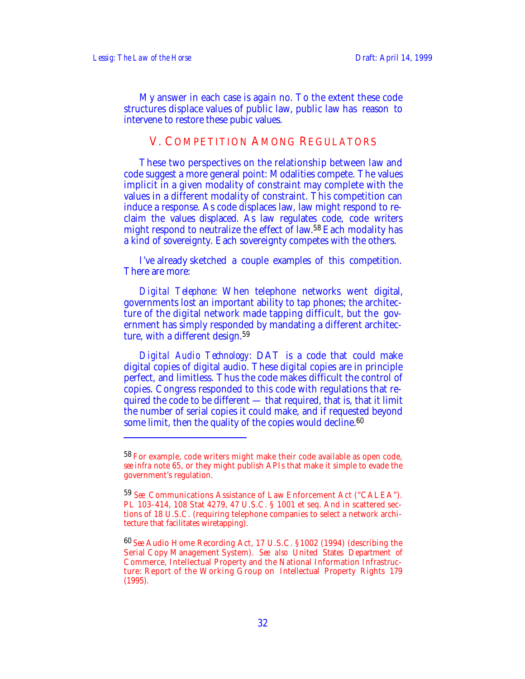My answer in each case is again no. To the extent these code structures displace values of public law, public law has reason to intervene to restore these pubic values.

# V. COMPETITION AMONG REGULATORS

These two perspectives on the relationship between law and code suggest a more general point: Modalities compete. The values implicit in a given modality of constraint may complete with the values in a different modality of constraint. This competition can induce a response. As code displaces law, law might respond to reclaim the values displaced. As law regulates code, code writers might respond to neutralize the effect of law.58 Each modality has a kind of sovereignty. Each sovereignty competes with the others.

I've already sketched a couple examples of this competition. There are more:

*Digital Telephone*: When telephone networks went digital, governments lost an important ability to tap phones; the architecture of the digital network made tapping difficult, but the government has simply responded by mandating a different architecture, with a different design.<sup>59</sup>

*Digital Audio Technology*: DAT is a code that could make digital copies of digital audio. These digital copies are in principle perfect, and limitless. Thus the code makes difficult the control of copies. Congress responded to this code with regulations that required the code to be different — that required, that is, that it limit the number of serial copies it could make, and if requested beyond some limit, then the quality of the copies would decline.<sup>60</sup>

<sup>&</sup>lt;sup>58</sup> For example, code writers might make their code available as open code, *see infra* note 65, or they might publish APIs that make it simple to evade the government's regulation.

<sup>59</sup> *See* Communications Assistance of Law Enforcement Act ("CALEA"). PL 103-414, 108 Stat 4279, 47 U.S.C. § 1001 et seq. And in scattered sections of 18 U.S.C. (requiring telephone companies to select a network architecture that facilitates wiretapping).

<sup>60</sup> *See* Audio Home Recording Act, 17 U.S.C. §1002 (1994) (describing the Serial Copy Management System). *See also* United States Department of Commerce, Intellectual Property and the National Information Infrastructure: Report of the Working Group on Intellectual Property Rights 179 (1995).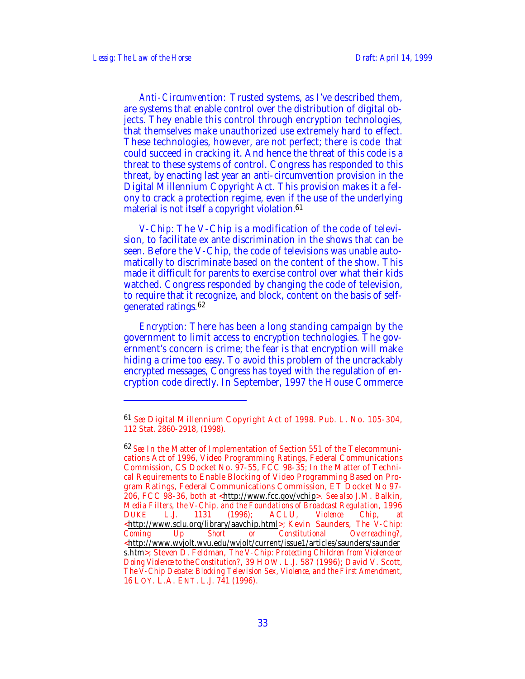*Anti-Circumvention:* Trusted systems, as I've described them, are systems that enable control over the distribution of digital objects. They enable this control through encryption technologies, that themselves make unauthorized use extremely hard to effect. These technologies, however, are not perfect; there is code that could succeed in cracking it. And hence the threat of this code is a threat to these systems of control. Congress has responded to this threat, by enacting last year an anti-circumvention provision in the Digital Millennium Copyright Act. This provision makes it a felony to crack a protection regime, even if the use of the underlying material is not itself a copyright violation.<sup>61</sup>

*V-Chip*: The V-Chip is a modification of the code of television, to facilitate ex ante discrimination in the shows that can be seen. Before the V-Chip, the code of televisions was unable automatically to discriminate based on the content of the show. This made it difficult for parents to exercise control over what their kids watched. Congress responded by changing the code of television, to require that it recognize, and block, content on the basis of selfgenerated ratings.<sup>62</sup>

*Encryption*: There has been a long standing campaign by the government to limit access to encryption technologies. The government's concern is crime; the fear is that encryption will make hiding a crime too easy. To avoid this problem of the uncrackably encrypted messages, Congress has toyed with the regulation of encryption code directly. In September, 1997 the House Commerce

<sup>61</sup> *See* Digital Millennium Copyright Act of 1998. Pub. L. No. 105-304, 112 Stat. 2860-2918, (1998).

<sup>62</sup> *See* In the Matter of Implementation of Section 551 of the Telecommunications Act of 1996, Video Programming Ratings, Federal Communications Commission, CS Docket No. 97-55, FCC 98-35; In the Matter of Technical Requirements to Enable Blocking of Video Programming Based on Program Ratings, Federal Communications Commission, ET Docket No 97- 206, FCC 98-36, both at < http://www.fcc.gov/vchip >. *See also* J.M. Balkin, *Media Filters, the V-Chip, and the Foundations of Broadcast Regulation*, 1996 DUKE L.J. 1131 (1996); ACLU, *Violence Chip*, at < http://www.sclu.org/library/aavchip.html >; Kevin Saunders, *The V-Chip: Coming Up Short or Constitutional* < http://www.wvjolt.wvu.edu/wvjolt/current/issue1/articles/saunders/saunder s.htm >; Steven D. Feldman, *The V-Chip: Protecting Children from Violence or Doing Violence to the Constitution?*, 39 HOW. L.J. 587 (1996); David V. Scott, *The V-Chip Debate: Blocking Television Sex, Violence, and the First Amendment*, 16 LOY. L.A. ENT. L.J. 741 (1996).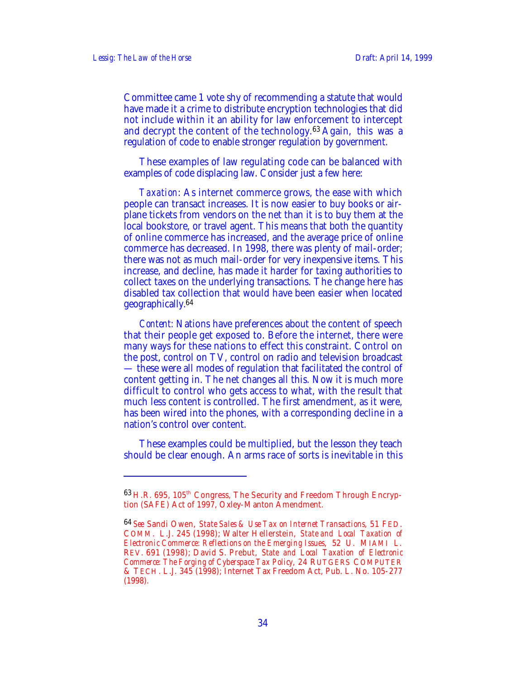Committee came 1 vote shy of recommending a statute that would have made it a crime to distribute encryption technologies that did not include within it an ability for law enforcement to intercept and decrypt the content of the technology.63 Again, this was a regulation of code to enable stronger regulation by government.

These examples of law regulating code can be balanced with examples of code displacing law. Consider just a few here:

*Taxation*: As internet commerce grows, the ease with which people can transact increases. It is now easier to buy books or airplane tickets from vendors on the net than it is to buy them at the local bookstore, or travel agent. This means that both the quantity of online commerce has increased, and the average price of online commerce has decreased. In 1998, there was plenty of mail-order; there was not as much mail-order for very inexpensive items. This increase, and decline, has made it harder for taxing authorities to collect taxes on the underlying transactions. The change here has disabled tax collection that would have been easier when located geographically.<sup>64</sup>

*Content:* Nations have preferences about the content of speech that their people get exposed to. Before the internet, there were many ways for these nations to effect this constraint. Control on the post, control on TV, control on radio and television broadcast — these were all modes of regulation that facilitated the control of content getting in. The net changes all this. Now it is much more difficult to control who gets access to what, with the result that much less content is controlled. The first amendment, as it were, has been wired into the phones, with a corresponding decline in a nation's control over content.

These examples could be multiplied, but the lesson they teach should be clear enough. An arms race of sorts is inevitable in this

<sup>63</sup> H.R. 695, 105<sup>th</sup> Congress, The Security and Freedom Through Encryption (SAFE) Act of 1997, Oxley-Manton Amendment.

<sup>64</sup> *See* Sandi Owen, *State Sales & Use Tax on Internet Transactions*, 51 FED. COMM. L.J. 245 (1998); Walter Hellerstein, *State and Local Taxation of Electronic Commerce: Reflections on the Emerging Issues*, 52 U. MIAMI L. REV. 691 (1998); David S. Prebut, *State and Local Taxation of Electronic Commerce: The Forging of Cyberspace Tax Policy*, 24 RUTGERS COMPUTER & TECH. L.J. 345 (1998); Internet Tax Freedom Act, Pub. L. No. 105-277 (1998).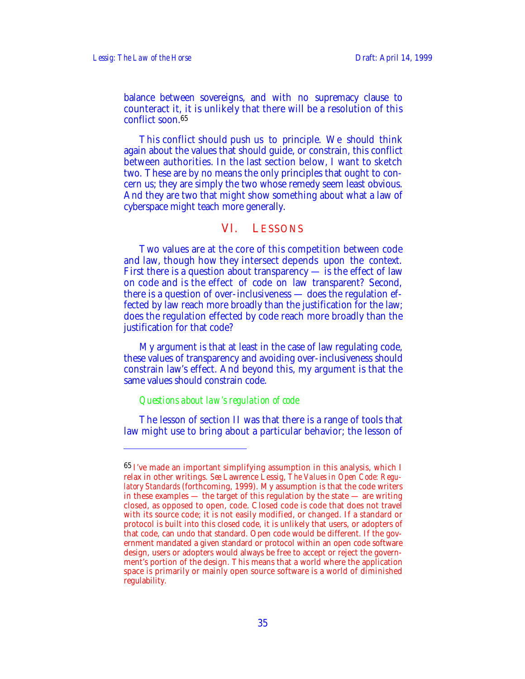$\overline{a}$ 

balance between sovereigns, and with no supremacy clause to counteract it, it is unlikely that there will be a resolution of this conflict soon.<sup>65</sup>

This conflict should push us to principle. We should think again about the values that should guide, or constrain, this conflict between authorities. In the last section below, I want to sketch two. These are by no means the only principles that ought to concern us; they are simply the two whose remedy seem least obvious. And they are two that might show something about what a law of cyberspace might teach more generally.

# VI. LESSONS

Two values are at the core of this competition between code and law, though how they intersect depends upon the context. First there is a question about transparency  $-$  is the effect of law on code and is the effect of code on law transparent? Second, there is a question of over-inclusiveness — does the regulation effected by law reach more broadly than the justification for the law; does the regulation effected by code reach more broadly than the justification for that code?

My argument is that at least in the case of law regulating code, these values of transparency and avoiding over-inclusiveness should constrain law's effect. And beyond this, my argument is that the same values should constrain code.

#### *Questions about law's regulation of code*

The lesson of section II was that there is a range of tools that law might use to bring about a particular behavior; the lesson of

<sup>65</sup> I've made an important simplifying assumption in this analysis, which I relax in other writings. *See* Lawrence Lessig, *The Values in Open Code: Regulatory Standards* (forthcoming, 1999). My assumption is that the code writers in these examples  $-$  the target of this regulation by the state  $-$  are writing closed, as opposed to open, code. Closed code is code that does not travel with its source code; it is not easily modified, or changed. If a standard or protocol is built into this closed code, it is unlikely that users, or adopters of that code, can undo that standard. Open code would be different. If the government mandated a given standard or protocol within an open code software design, users or adopters would always be free to accept or reject the government's portion of the design. This means that a world where the application space is primarily or mainly open source software is a world of diminished regulability.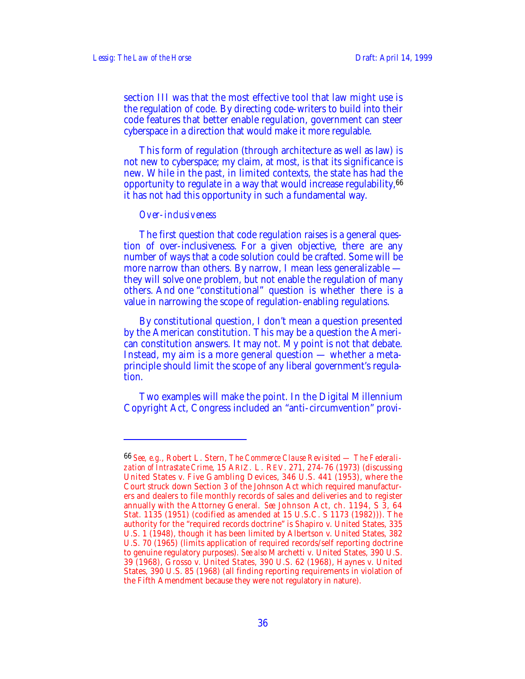section III was that the most effective tool that law might use is the regulation of code. By directing code-writers to build into their code features that better enable regulation, government can steer cyberspace in a direction that would make it more regulable.

This form of regulation (through architecture as well as law) is not new to cyberspace; my claim, at most, is that its significance is new. While in the past, in limited contexts, the state has had the opportunity to regulate in a way that would increase regulability,<sup>66</sup> it has not had this opportunity in such a fundamental way.

#### *Over-inclusiveness*

The first question that code regulation raises is a general question of over-inclusiveness. For a given objective, there are any number of ways that a code solution could be crafted. Some will be more narrow than others. By narrow, I mean less generalizable they will solve one problem, but not enable the regulation of many others. And one "constitutional" question is whether there is a value in narrowing the scope of regulation-enabling regulations.

By constitutional question, I don't mean a question presented by the American constitution. This may be a question the American constitution answers. It may not. My point is not that debate. Instead, my aim is a more general question — whether a metaprinciple should limit the scope of any liberal government's regulation.

Two examples will make the point. In the Digital Millennium Copyright Act, Congress included an "anti-circumvention" provi-

<sup>66</sup> *See, e.g.*, Robert L. Stern, *The Commerce Clause Revisited — The Federalization of Intrastate Crime*, 15 ARIZ. L. REV. 271, 274-76 (1973) (discussing United States v. Five Gambling Devices, 346 U.S. 441 (1953), where the Court struck down Section 3 of the Johnson Act which required manufacturers and dealers to file monthly records of sales and deliveries and to register annually with the Attorney General. *See* Johnson Act, ch. 1194, S 3, 64 Stat. 1135 (1951) (codified as amended at 15 U.S.C. S 1173 (1982))). The authority for the "required records doctrine" is Shapiro v. United States, 335 U.S. 1 (1948), though it has been limited by Albertson v. United States, 382 U.S. 70 (1965) (limits application of required records/self reporting doctrine to genuine regulatory purposes). *See also* Marchetti v. United States, 390 U.S. 39 (1968), Grosso v. United States, 390 U.S. 62 (1968), Haynes v. United States, 390 U.S. 85 (1968) (all finding reporting requirements in violation of the Fifth Amendment because they were not regulatory in nature).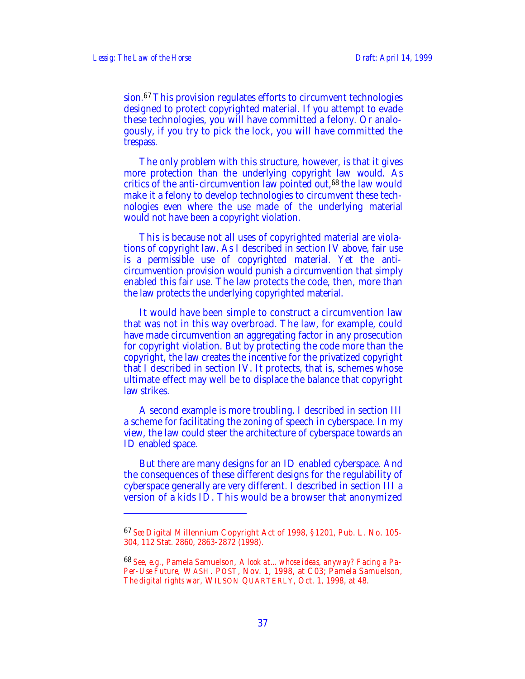sion.67 This provision regulates efforts to circumvent technologies designed to protect copyrighted material. If you attempt to evade these technologies, you will have committed a felony. Or analogously, if you try to pick the lock, you will have committed the trespass.

The only problem with this structure, however, is that it gives more protection than the underlying copyright law would. As critics of the anti-circumvention law pointed out,68 the law would make it a felony to develop technologies to circumvent these technologies even where the use made of the underlying material would not have been a copyright violation.

This is because not all uses of copyrighted material are violations of copyright law. As I described in section IV above, fair use is a permissible use of copyrighted material. Yet the anticircumvention provision would punish a circumvention that simply enabled this fair use. The law protects the code, then, more than the law protects the underlying copyrighted material.

It would have been simple to construct a circumvention law that was not in this way overbroad. The law, for example, could have made circumvention an aggregating factor in any prosecution for copyright violation. But by protecting the code more than the copyright, the law creates the incentive for the privatized copyright that I described in section IV. It protects, that is, schemes whose ultimate effect may well be to displace the balance that copyright law strikes.

A second example is more troubling. I described in section III a scheme for facilitating the zoning of speech in cyberspace. In my view, the law could steer the architecture of cyberspace towards an ID enabled space.

But there are many designs for an ID enabled cyberspace. And the consequences of these different designs for the regulability of cyberspace generally are very different. I described in section III a version of a kids ID. This would be a browser that anonymized

<sup>67</sup> *See* Digital Millennium Copyright Act of 1998, §1201, Pub. L. No. 105- 304, 112 Stat. 2860, 2863-2872 (1998).

<sup>68</sup> *See, e.g.*, Pamela Samuelson, *A look at…whose ideas, anyway? Facing a Pa-Per-Use Future*, WASH. POST, Nov. 1, 1998, at C03; Pamela Samuelson, *The digital rights war*, WILSON QUARTERLY, Oct. 1, 1998, at 48.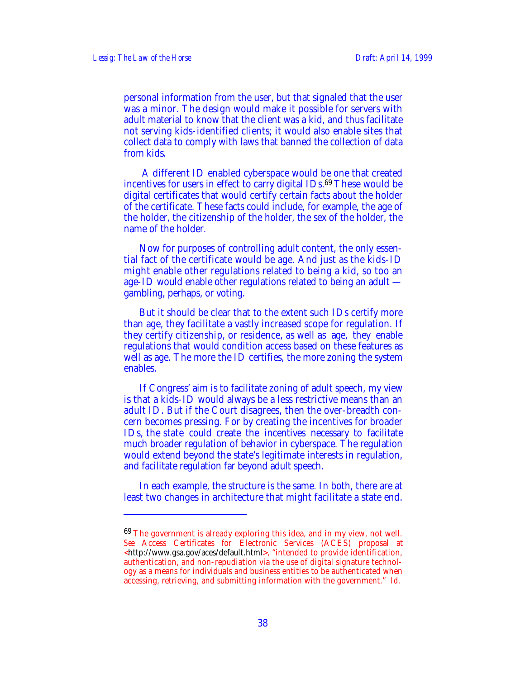personal information from the user, but that signaled that the user was a minor. The design would make it possible for servers with adult material to know that the client was a kid, and thus facilitate not serving kids-identified clients; it would also enable sites that collect data to comply with laws that banned the collection of data from kids.

 A different ID enabled cyberspace would be one that created incentives for users in effect to carry digital IDs.69 These would be digital certificates that would certify certain facts about the holder of the certificate. These facts could include, for example, the age of the holder, the citizenship of the holder, the sex of the holder, the name of the holder.

Now for purposes of controlling adult content, the only essential fact of the certificate would be age. And just as the kids-ID might enable other regulations related to being a kid, so too an age-ID would enable other regulations related to being an adult gambling, perhaps, or voting.

But it should be clear that to the extent such IDs certify more than age, they facilitate a vastly increased scope for regulation. If they certify citizenship, or residence, as well as age, they enable regulations that would condition access based on these features as well as age. The more the ID certifies, the more zoning the system enables.

If Congress' aim is to facilitate zoning of adult speech, my view is that a kids-ID would always be a less restrictive means than an adult ID. But if the Court disagrees, then the over-breadth concern becomes pressing. For by creating the incentives for broader IDs, the state could create the incentives necessary to facilitate much broader regulation of behavior in cyberspace. The regulation would extend beyond the state's legitimate interests in regulation, and facilitate regulation far beyond adult speech.

In each example, the structure is the same. In both, there are at least two changes in architecture that might facilitate a state end.

 $^{69}\mathrm{The}$  government is already exploring this idea, and in my view, not well. *See* Access Certificates for Electronic Services (ACES) proposal at <http://www.gsa.gov/aces/default.html>, "intended to provide identification, authentication, and non-repudiation via the use of digital signature technology as a means for individuals and business entities to be authenticated when accessing, retrieving, and submitting information with the government." *Id.*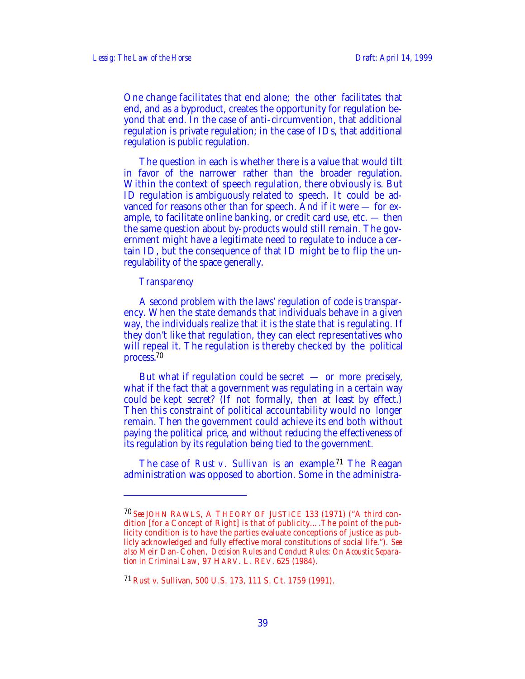One change facilitates that end alone; the other facilitates that end, and as a byproduct, creates the opportunity for regulation beyond that end. In the case of anti-circumvention, that additional regulation is private regulation; in the case of IDs, that additional regulation is public regulation.

The question in each is whether there is a value that would tilt in favor of the narrower rather than the broader regulation. Within the context of speech regulation, there obviously is. But ID regulation is ambiguously related to speech. It could be advanced for reasons other than for speech. And if it were — for example, to facilitate online banking, or credit card use, etc. — then the same question about by-products would still remain. The government might have a legitimate need to regulate to induce a certain ID, but the consequence of that ID might be to flip the unregulability of the space generally.

#### *Transparency*

 $\overline{a}$ 

A second problem with the laws' regulation of code is transparency. When the state demands that individuals behave in a given way, the individuals realize that it is the state that is regulating. If they don't like that regulation, they can elect representatives who will repeal it. The regulation is thereby checked by the political process.<sup>70</sup>

But what if regulation could be secret  $-$  or more precisely, what if the fact that a government was regulating in a certain way could be kept secret? (If not formally, then at least by effect.) Then this constraint of political accountability would no longer remain. Then the government could achieve its end both without paying the political price, and without reducing the effectiveness of its regulation by its regulation being tied to the government.

The case of *Rust v. Sullivan* is an example.<sup>71</sup> The Reagan administration was opposed to abortion. Some in the administra-

<sup>70</sup> *See* JOHN RAWLS, A THEORY OF JUSTICE 133 (1971) ("A third condition [for a Concept of Right] is that of publicity….The point of the publicity condition is to have the parties evaluate conceptions of justice as publicly acknowledged and fully effective moral constitutions of social life."). *See also* Meir Dan-Cohen, *Decision Rules and Conduct Rules: On Acoustic Separation in Criminal Law*, 97 HARV. L. REV. 625 (1984).

<sup>71</sup> Rust v. Sullivan, 500 U.S. 173, 111 S. Ct. 1759 (1991).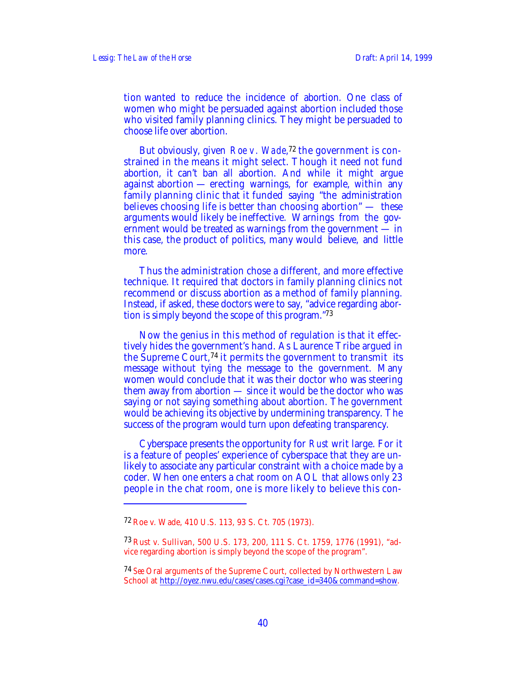tion wanted to reduce the incidence of abortion. One class of women who might be persuaded against abortion included those who visited family planning clinics. They might be persuaded to choose life over abortion.

But obviously, given *Roe v. Wade*, 72 the government is constrained in the means it might select. Though it need not fund abortion, it can't ban all abortion. And while it might argue against abortion — erecting warnings, for example, within any family planning clinic that it funded saying "the administration believes choosing life is better than choosing abortion" — these arguments would likely be ineffective. Warnings from the government would be treated as warnings from the government  $-$  in this case, the product of politics, many would believe, and little more.

Thus the administration chose a different, and more effective technique. It required that doctors in family planning clinics not recommend or discuss abortion as a method of family planning. Instead, if asked, these doctors were to say, "advice regarding abortion is simply beyond the scope of this program."<sup>73</sup>

Now the genius in this method of regulation is that it effectively hides the government's hand. As Laurence Tribe argued in the Supreme Court,<sup>74</sup> it permits the government to transmit its message without tying the message to the government. Many women would conclude that it was their doctor who was steering them away from abortion — since it would be the doctor who was saying or not saying something about abortion. The government would be achieving its objective by undermining transparency. The success of the program would turn upon defeating transparency.

Cyberspace presents the opportunity for *Rust* writ large. For it is a feature of peoples' experience of cyberspace that they are unlikely to associate any particular constraint with a choice made by a coder. When one enters a chat room on AOL that allows only 23 people in the chat room, one is more likely to believe this con-

1

<sup>72</sup> Roe v. Wade, 410 U.S. 113, 93 S. Ct. 705 (1973).

<sup>73</sup> Rust v. Sullivan, 500 U.S. 173, 200, 111 S. Ct. 1759, 1776 (1991), "advice regarding abortion is simply beyond the scope of the program".

<sup>74</sup> *See* Oral arguments of the Supreme Court, collected by Northwestern Law School at http://oyez.nwu.edu/cases/cases.cgi?case\_id=340&command=show.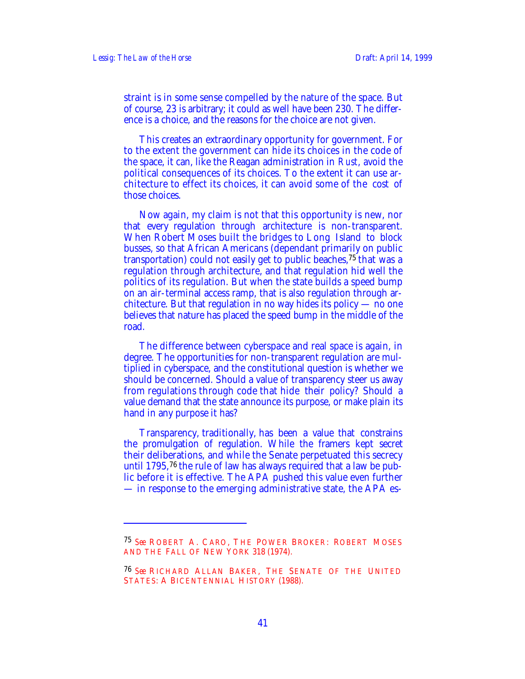$\overline{a}$ 

straint is in some sense compelled by the nature of the space. But of course, 23 is arbitrary; it could as well have been 230. The difference is a choice, and the reasons for the choice are not given.

This creates an extraordinary opportunity for government. For to the extent the government can hide its choices in the code of the space, it can, like the Reagan administration in *Rust*, avoid the political consequences of its choices. To the extent it can use architecture to effect its choices, it can avoid some of the cost of those choices.

Now again, my claim is not that this opportunity is new, nor that every regulation through architecture is non-transparent. When Robert Moses built the bridges to Long Island to block busses, so that African Americans (dependant primarily on public transportation) could not easily get to public beaches,75 that was a regulation through architecture, and that regulation hid well the politics of its regulation. But when the state builds a speed bump on an air-terminal access ramp, that is also regulation through architecture. But that regulation in no way hides its policy — no one believes that nature has placed the speed bump in the middle of the road.

The difference between cyberspace and real space is again, in degree. The opportunities for non-transparent regulation are multiplied in cyberspace, and the constitutional question is whether we should be concerned. Should a value of transparency steer us away from regulations through code that hide their policy? Should a value demand that the state announce its purpose, or make plain its hand in any purpose it has?

Transparency, traditionally, has been a value that constrains the promulgation of regulation. While the framers kept secret their deliberations, and while the Senate perpetuated this secrecy until 1795,76 the rule of law has always required that a law be public before it is effective. The APA pushed this value even further — in response to the emerging administrative state, the APA es-

<sup>75</sup> *See* R OBERT A. CARO, THE POWER BROKER: ROBERT MOSES AND THE FALL OF NEW YORK 318 (1974).

<sup>76</sup> *See* RICHARD ALLAN BAKER, THE SENATE OF THE UNITED STATES: A BICENTENNIAL HISTORY (1988).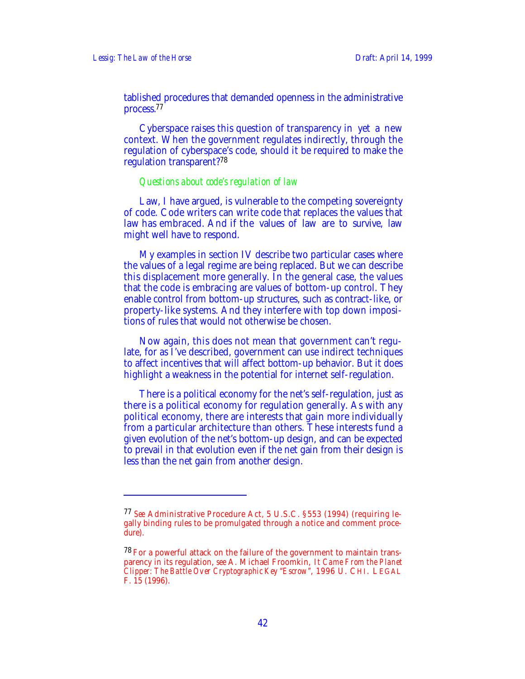$\overline{a}$ 

tablished procedures that demanded openness in the administrative process.<sup>77</sup>

Cyberspace raises this question of transparency in yet a new context. When the government regulates indirectly, through the regulation of cyberspace's code, should it be required to make the regulation transparent?<sup>78</sup>

#### *Questions about code's regulation of law*

Law, I have argued, is vulnerable to the competing sovereignty of code. Code writers can write code that replaces the values that law has embraced. And if the values of law are to survive, law might well have to respond.

My examples in section IV describe two particular cases where the values of a legal regime are being replaced. But we can describe this displacement more generally. In the general case, the values that the code is embracing are values of bottom-up control. They enable control from bottom-up structures, such as contract-like, or property-like systems. And they interfere with top down impositions of rules that would not otherwise be chosen.

Now again, this does not mean that government can't regulate, for as I've described, government can use indirect techniques to affect incentives that will affect bottom-up behavior. But it does highlight a weakness in the potential for internet self-regulation.

There is a political economy for the net's self-regulation, just as there is a political economy for regulation generally. As with any political economy, there are interests that gain more individually from a particular architecture than others. These interests fund a given evolution of the net's bottom-up design, and can be expected to prevail in that evolution even if the net gain from their design is less than the net gain from another design.

<sup>77</sup> *See* Administrative Procedure Act, 5 U.S.C. §553 (1994) (requiring legally binding rules to be promulgated through a notice and comment procedure).

 $^{78}$  For a powerful attack on the failure of the government to maintain transparency in its regulation, *see* A. Michael Froomkin, *It Came From the Planet Clipper: The Battle Over Cryptographic Key "Escrow"*, 1996 U. CHI. LEGAL F. 15 (1996).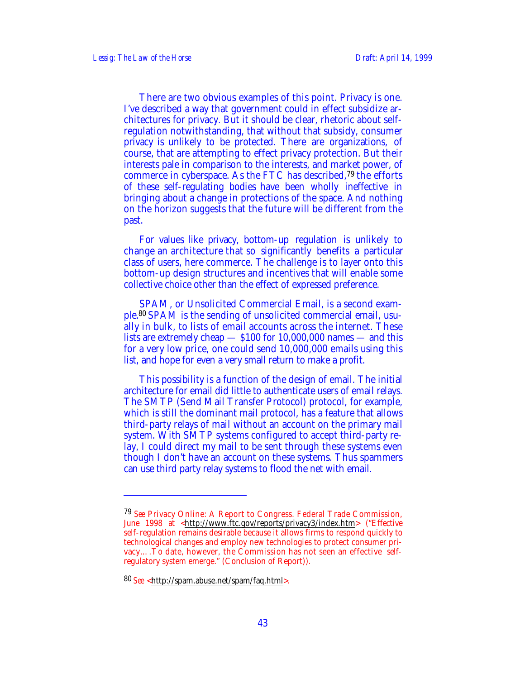There are two obvious examples of this point. Privacy is one. I've described a way that government could in effect subsidize architectures for privacy. But it should be clear, rhetoric about selfregulation notwithstanding, that without that subsidy, consumer privacy is unlikely to be protected. There are organizations, of course, that are attempting to effect privacy protection. But their interests pale in comparison to the interests, and market power, of commerce in cyberspace. As the FTC has described,79 the efforts of these self-regulating bodies have been wholly ineffective in bringing about a change in protections of the space. And nothing on the horizon suggests that the future will be different from the past.

For values like privacy, bottom-up regulation is unlikely to change an architecture that so significantly benefits a particular class of users, here commerce. The challenge is to layer onto this bottom-up design structures and incentives that will enable some collective choice other than the effect of expressed preference.

SPAM, or Unsolicited Commercial Email, is a second example.80 SPAM is the sending of unsolicited commercial email, usually in bulk, to lists of email accounts across the internet. These lists are extremely cheap  $-$  \$100 for 10,000,000 names  $-$  and this for a very low price, one could send 10,000,000 emails using this list, and hope for even a very small return to make a profit.

This possibility is a function of the design of email. The initial architecture for email did little to authenticate users of email relays. The SMTP (Send Mail Transfer Protocol) protocol, for example, which is still the dominant mail protocol, has a feature that allows third-party relays of mail without an account on the primary mail system. With SMTP systems configured to accept third-party relay, I could direct my mail to be sent through these systems even though I don't have an account on these systems. Thus spammers can use third party relay systems to flood the net with email.

 $\overline{a}$ 

<sup>79</sup> *See* Privacy Online: A Report to Congress. Federal Trade Commission, June 1998 at <http://www.ftc.gov/reports/privacy3/index.htm> ("Effective self-regulation remains desirable because it allows firms to respond quickly to technological changes and employ new technologies to protect consumer privacy….To date, however, the Commission has not seen an effective selfregulatory system emerge." (Conclusion of Report)).

<sup>80</sup> *See* < http://spam.abuse.net/spam/faq.html>.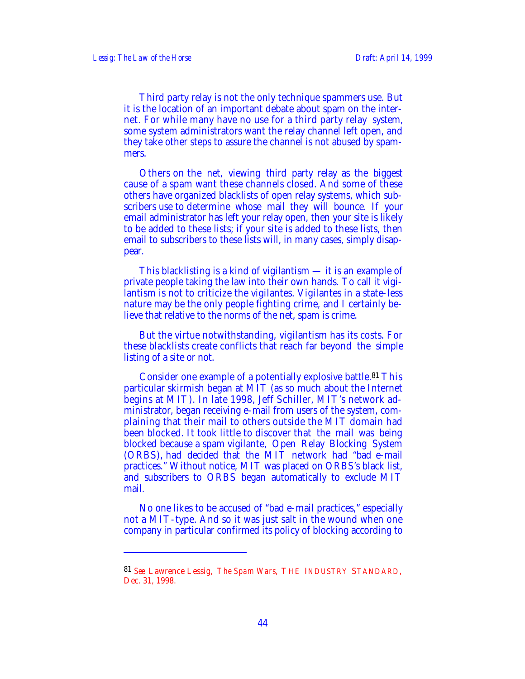Third party relay is not the only technique spammers use. But it is the location of an important debate about spam on the internet. For while many have no use for a third party relay system, some system administrators want the relay channel left open, and they take other steps to assure the channel is not abused by spammers.

Others on the net, viewing third party relay as the biggest cause of a spam want these channels closed. And some of these others have organized blacklists of open relay systems, which subscribers use to determine whose mail they will bounce. If your email administrator has left your relay open, then your site is likely to be added to these lists; if your site is added to these lists, then email to subscribers to these lists will, in many cases, simply disappear.

This blacklisting is a kind of vigilantism — it is an example of private people taking the law into their own hands. To call it vigilantism is not to criticize the vigilantes. Vigilantes in a state-less nature may be the only people fighting crime, and I certainly believe that relative to the norms of the net, spam is crime.

But the virtue notwithstanding, vigilantism has its costs. For these blacklists create conflicts that reach far beyond the simple listing of a site or not.

Consider one example of a potentially explosive battle.<sup>81</sup> This particular skirmish began at MIT (as so much about the Internet begins at MIT). In late 1998, Jeff Schiller, MIT's network administrator, began receiving e-mail from users of the system, complaining that their mail to others outside the MIT domain had been blocked. It took little to discover that the mail was being blocked because a spam vigilante, Open Relay Blocking System (ORBS), had decided that the MIT network had "bad e-mail practices." Without notice, MIT was placed on ORBS's black list, and subscribers to ORBS began automatically to exclude MIT mail.

No one likes to be accused of "bad e-mail practices," especially not a MIT-type. And so it was just salt in the wound when one company in particular confirmed its policy of blocking according to

<sup>81</sup> *See* Lawrence Lessig, *The Spam Wars*, THE INDUSTRY STANDARD, Dec. 31, 1998.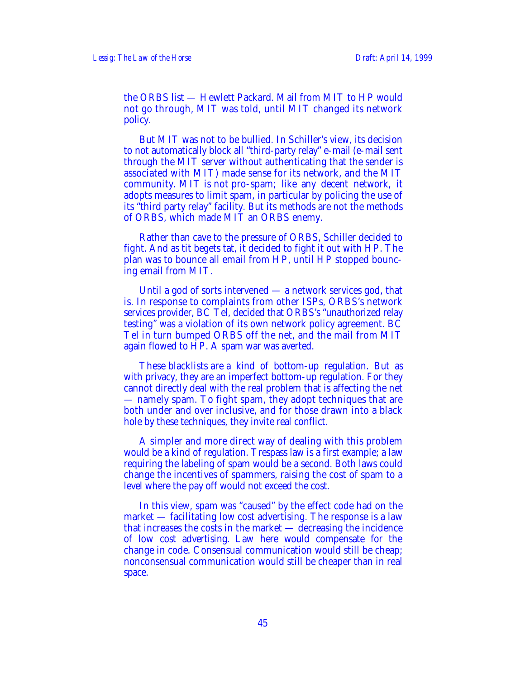the ORBS list — Hewlett Packard. Mail from MIT to HP would not go through, MIT was told, until MIT changed its network policy.

But MIT was not to be bullied. In Schiller's view, its decision to not automatically block all "third-party relay" e-mail (e-mail sent through the MIT server without authenticating that the sender is associated with MIT) made sense for its network, and the MIT community. MIT is not pro-spam; like any decent network, it adopts measures to limit spam, in particular by policing the use of its "third party relay" facility. But its methods are not the methods of ORBS, which made MIT an ORBS enemy.

Rather than cave to the pressure of ORBS, Schiller decided to fight. And as tit begets tat, it decided to fight it out with HP. The plan was to bounce all email from HP, until HP stopped bouncing email from MIT.

Until a god of sorts intervened — a network services god, that is. In response to complaints from other ISPs, ORBS's network services provider, BC Tel, decided that ORBS's "unauthorized relay testing" was a violation of its own network policy agreement. BC Tel in turn bumped ORBS off the net, and the mail from MIT again flowed to HP. A spam war was averted.

These blacklists are a kind of bottom-up regulation. But as with privacy, they are an imperfect bottom-up regulation. For they cannot directly deal with the real problem that is affecting the net — namely spam. To fight spam, they adopt techniques that are both under and over inclusive, and for those drawn into a black hole by these techniques, they invite real conflict.

A simpler and more direct way of dealing with this problem would be a kind of regulation. Trespass law is a first example; a law requiring the labeling of spam would be a second. Both laws could change the incentives of spammers, raising the cost of spam to a level where the pay off would not exceed the cost.

In this view, spam was "caused" by the effect code had on the market — facilitating low cost advertising. The response is a law that increases the costs in the market — decreasing the incidence of low cost advertising. Law here would compensate for the change in code. Consensual communication would still be cheap; nonconsensual communication would still be cheaper than in real space.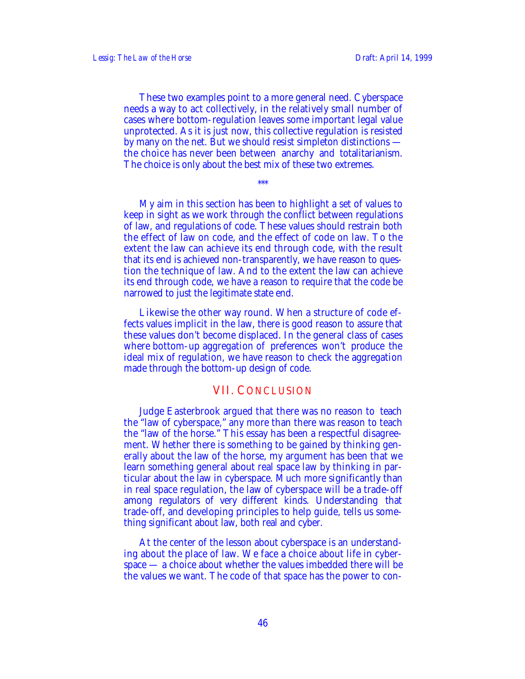These two examples point to a more general need. Cyberspace needs a way to act collectively, in the relatively small number of cases where bottom-regulation leaves some important legal value unprotected. As it is just now, this collective regulation is resisted by many on the net. But we should resist simpleton distinctions the choice has never been between anarchy and totalitarianism. The choice is only about the best mix of these two extremes.

\*\*\*

My aim in this section has been to highlight a set of values to keep in sight as we work through the conflict between regulations of law, and regulations of code. These values should restrain both the effect of law on code, and the effect of code on law. To the extent the law can achieve its end through code, with the result that its end is achieved non-transparently, we have reason to question the technique of law. And to the extent the law can achieve its end through code, we have a reason to require that the code be narrowed to just the legitimate state end.

Likewise the other way round. When a structure of code effects values implicit in the law, there is good reason to assure that these values don't become displaced. In the general class of cases where bottom-up aggregation of preferences won't produce the ideal mix of regulation, we have reason to check the aggregation made through the bottom-up design of code.

### VII. CONCLUSION

Judge Easterbrook argued that there was no reason to teach the "law of cyberspace," any more than there was reason to teach the "law of the horse." This essay has been a respectful disagreement. Whether there is something to be gained by thinking generally about the law of the horse, my argument has been that we learn something general about real space law by thinking in particular about the law in cyberspace. Much more significantly than in real space regulation, the law of cyberspace will be a trade-off among regulators of very different kinds. Understanding that trade-off, and developing principles to help guide, tells us something significant about law, both real and cyber.

At the center of the lesson about cyberspace is an understanding about the place of law. We face a choice about life in cyberspace — a choice about whether the values imbedded there will be the values we want. The code of that space has the power to con